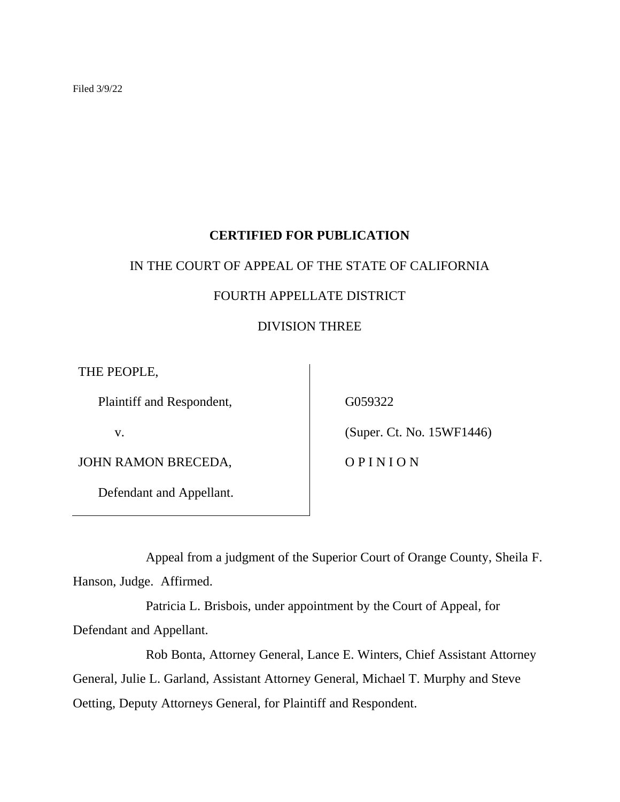Filed 3/9/22

# **CERTIFIED FOR PUBLICATION**

# IN THE COURT OF APPEAL OF THE STATE OF CALIFORNIA

# FOURTH APPELLATE DISTRICT

# DIVISION THREE

THE PEOPLE,

Plaintiff and Respondent,

v.

JOHN RAMON BRECEDA,

Defendant and Appellant.

G059322

(Super. Ct. No. 15WF1446)

O P I N I O N

Appeal from a judgment of the Superior Court of Orange County, Sheila F. Hanson, Judge. Affirmed.

Patricia L. Brisbois, under appointment by the Court of Appeal, for Defendant and Appellant.

Rob Bonta, Attorney General, Lance E. Winters, Chief Assistant Attorney General, Julie L. Garland, Assistant Attorney General, Michael T. Murphy and Steve Oetting, Deputy Attorneys General, for Plaintiff and Respondent.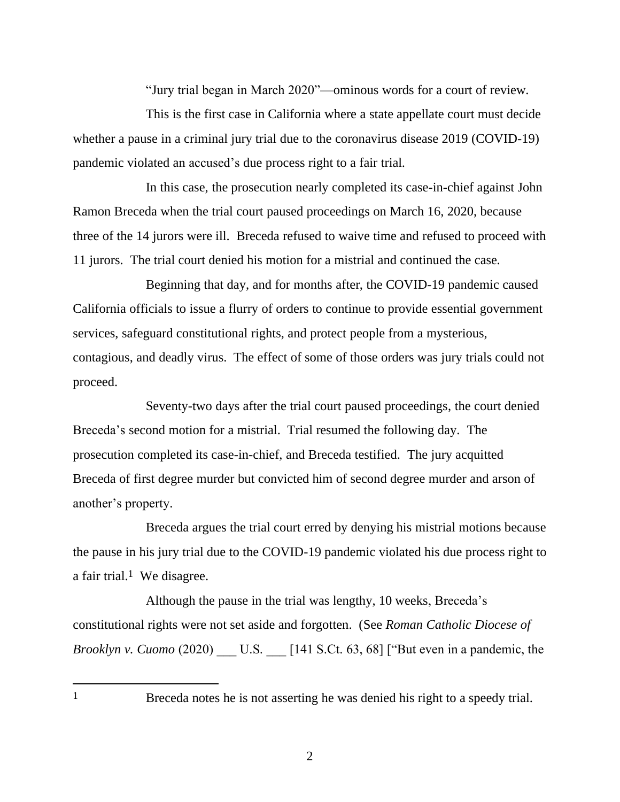"Jury trial began in March 2020"—ominous words for a court of review.

This is the first case in California where a state appellate court must decide whether a pause in a criminal jury trial due to the coronavirus disease 2019 (COVID-19) pandemic violated an accused's due process right to a fair trial.

In this case, the prosecution nearly completed its case-in-chief against John Ramon Breceda when the trial court paused proceedings on March 16, 2020, because three of the 14 jurors were ill. Breceda refused to waive time and refused to proceed with 11 jurors. The trial court denied his motion for a mistrial and continued the case.

Beginning that day, and for months after, the COVID-19 pandemic caused California officials to issue a flurry of orders to continue to provide essential government services, safeguard constitutional rights, and protect people from a mysterious, contagious, and deadly virus. The effect of some of those orders was jury trials could not proceed.

Seventy-two days after the trial court paused proceedings, the court denied Breceda's second motion for a mistrial. Trial resumed the following day. The prosecution completed its case-in-chief, and Breceda testified. The jury acquitted Breceda of first degree murder but convicted him of second degree murder and arson of another's property.

Breceda argues the trial court erred by denying his mistrial motions because the pause in his jury trial due to the COVID-19 pandemic violated his due process right to a fair trial.<sup>1</sup> We disagree.

Although the pause in the trial was lengthy, 10 weeks, Breceda's constitutional rights were not set aside and forgotten. (See *Roman Catholic Diocese of Brooklyn v. Cuomo* (2020) U.S. [141 S.Ct. 63, 68] ["But even in a pandemic, the

1 Breceda notes he is not asserting he was denied his right to a speedy trial.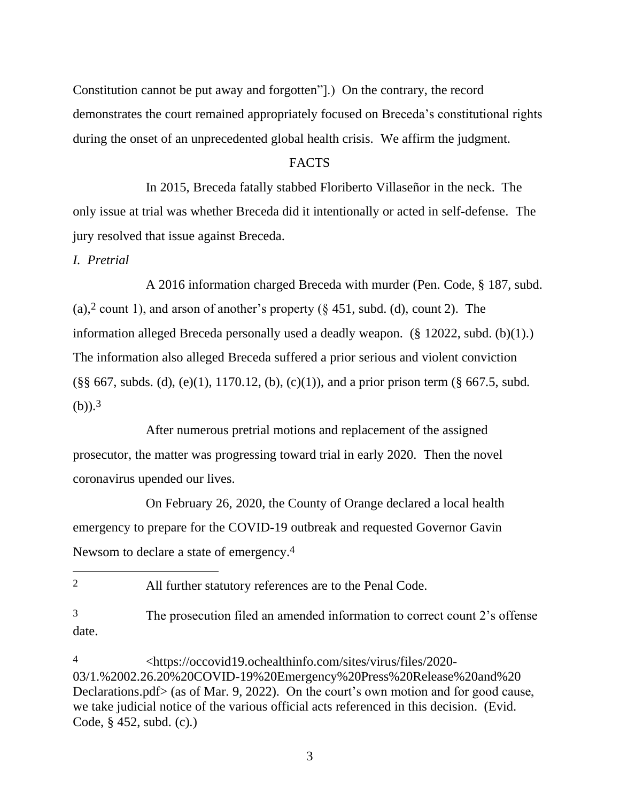Constitution cannot be put away and forgotten"].) On the contrary, the record demonstrates the court remained appropriately focused on Breceda's constitutional rights during the onset of an unprecedented global health crisis. We affirm the judgment.

# **FACTS**

In 2015, Breceda fatally stabbed Floriberto Villaseñor in the neck. The only issue at trial was whether Breceda did it intentionally or acted in self-defense. The jury resolved that issue against Breceda.

*I. Pretrial*

A 2016 information charged Breceda with murder (Pen. Code, § 187, subd. (a),<sup>2</sup> count 1), and arson of another's property ( $\S$  451, subd. (d), count 2). The information alleged Breceda personally used a deadly weapon. (§ 12022, subd. (b)(1).) The information also alleged Breceda suffered a prior serious and violent conviction  $(\S\$  667, subds. (d), (e)(1), 1170.12, (b), (c)(1)), and a prior prison term ( $\S$  667.5, subd.  $(b)$ ).<sup>3</sup>

After numerous pretrial motions and replacement of the assigned prosecutor, the matter was progressing toward trial in early 2020. Then the novel coronavirus upended our lives.

On February 26, 2020, the County of Orange declared a local health emergency to prepare for the COVID-19 outbreak and requested Governor Gavin Newsom to declare a state of emergency.<sup>4</sup>

<sup>2</sup> All further statutory references are to the Penal Code.

<sup>3</sup> The prosecution filed an amended information to correct count 2's offense date.

<sup>4</sup> <https://occovid19.ochealthinfo.com/sites/virus/files/2020- 03/1.%2002.26.20%20COVID-19%20Emergency%20Press%20Release%20and%20 Declarations.pdf> (as of Mar. 9, 2022). On the court's own motion and for good cause, we take judicial notice of the various official acts referenced in this decision. (Evid. Code, § 452, subd. (c).)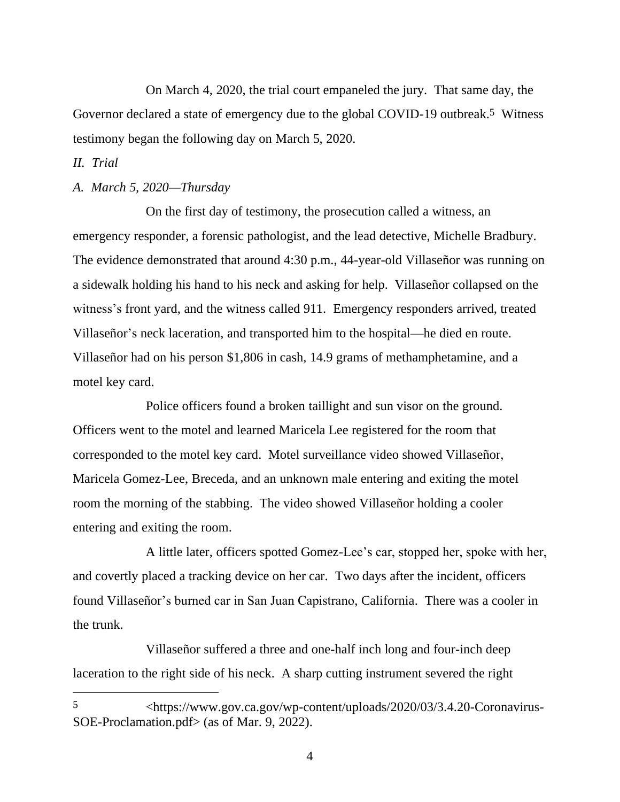On March 4, 2020, the trial court empaneled the jury. That same day, the Governor declared a state of emergency due to the global COVID-19 outbreak.<sup>5</sup> Witness testimony began the following day on March 5, 2020.

# *II. Trial*

#### *A. March 5, 2020—Thursday*

On the first day of testimony, the prosecution called a witness, an emergency responder, a forensic pathologist, and the lead detective, Michelle Bradbury. The evidence demonstrated that around 4:30 p.m., 44-year-old Villaseñor was running on a sidewalk holding his hand to his neck and asking for help. Villaseñor collapsed on the witness's front yard, and the witness called 911. Emergency responders arrived, treated Villaseñor's neck laceration, and transported him to the hospital—he died en route. Villaseñor had on his person \$1,806 in cash, 14.9 grams of methamphetamine, and a motel key card.

Police officers found a broken taillight and sun visor on the ground. Officers went to the motel and learned Maricela Lee registered for the room that corresponded to the motel key card. Motel surveillance video showed Villaseñor, Maricela Gomez-Lee, Breceda, and an unknown male entering and exiting the motel room the morning of the stabbing. The video showed Villaseñor holding a cooler entering and exiting the room.

A little later, officers spotted Gomez-Lee's car, stopped her, spoke with her, and covertly placed a tracking device on her car. Two days after the incident, officers found Villaseñor's burned car in San Juan Capistrano, California. There was a cooler in the trunk.

Villaseñor suffered a three and one-half inch long and four-inch deep laceration to the right side of his neck. A sharp cutting instrument severed the right

<sup>5</sup> <https://www.gov.ca.gov/wp-content/uploads/2020/03/3.4.20-Coronavirus-SOE-Proclamation.pdf> (as of Mar. 9, 2022).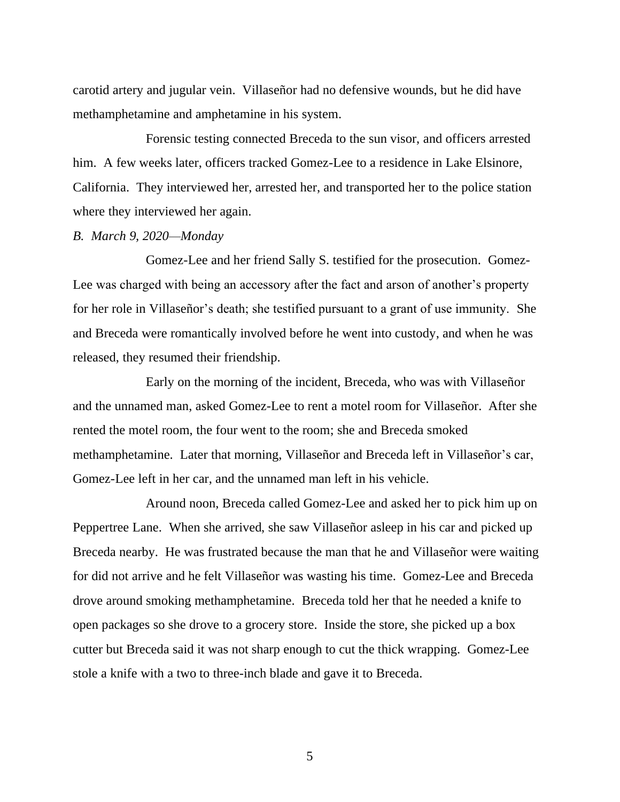carotid artery and jugular vein. Villaseñor had no defensive wounds, but he did have methamphetamine and amphetamine in his system.

Forensic testing connected Breceda to the sun visor, and officers arrested him. A few weeks later, officers tracked Gomez-Lee to a residence in Lake Elsinore, California. They interviewed her, arrested her, and transported her to the police station where they interviewed her again.

#### *B. March 9, 2020—Monday*

Gomez-Lee and her friend Sally S. testified for the prosecution. Gomez-Lee was charged with being an accessory after the fact and arson of another's property for her role in Villaseñor's death; she testified pursuant to a grant of use immunity. She and Breceda were romantically involved before he went into custody, and when he was released, they resumed their friendship.

Early on the morning of the incident, Breceda, who was with Villaseñor and the unnamed man, asked Gomez-Lee to rent a motel room for Villaseñor. After she rented the motel room, the four went to the room; she and Breceda smoked methamphetamine. Later that morning, Villaseñor and Breceda left in Villaseñor's car, Gomez-Lee left in her car, and the unnamed man left in his vehicle.

Around noon, Breceda called Gomez-Lee and asked her to pick him up on Peppertree Lane. When she arrived, she saw Villaseñor asleep in his car and picked up Breceda nearby. He was frustrated because the man that he and Villaseñor were waiting for did not arrive and he felt Villaseñor was wasting his time. Gomez-Lee and Breceda drove around smoking methamphetamine. Breceda told her that he needed a knife to open packages so she drove to a grocery store. Inside the store, she picked up a box cutter but Breceda said it was not sharp enough to cut the thick wrapping. Gomez-Lee stole a knife with a two to three-inch blade and gave it to Breceda.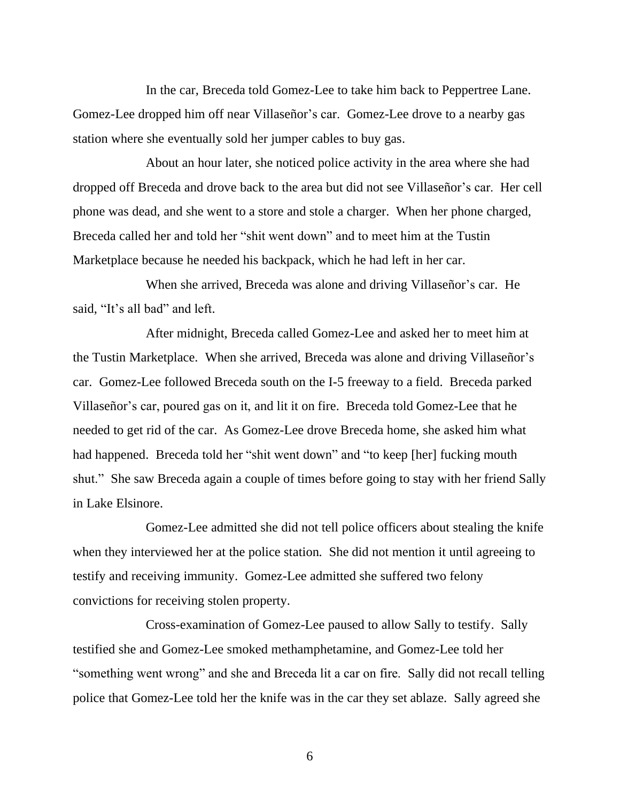In the car, Breceda told Gomez-Lee to take him back to Peppertree Lane. Gomez-Lee dropped him off near Villaseñor's car. Gomez-Lee drove to a nearby gas station where she eventually sold her jumper cables to buy gas.

About an hour later, she noticed police activity in the area where she had dropped off Breceda and drove back to the area but did not see Villaseñor's car. Her cell phone was dead, and she went to a store and stole a charger. When her phone charged, Breceda called her and told her "shit went down" and to meet him at the Tustin Marketplace because he needed his backpack, which he had left in her car.

When she arrived, Breceda was alone and driving Villaseñor's car. He said, "It's all bad" and left.

After midnight, Breceda called Gomez-Lee and asked her to meet him at the Tustin Marketplace.When she arrived, Breceda was alone and driving Villaseñor's car. Gomez-Lee followed Breceda south on the I-5 freeway to a field. Breceda parked Villaseñor's car, poured gas on it, and lit it on fire. Breceda told Gomez-Lee that he needed to get rid of the car. As Gomez-Lee drove Breceda home, she asked him what had happened. Breceda told her "shit went down" and "to keep [her] fucking mouth shut." She saw Breceda again a couple of times before going to stay with her friend Sally in Lake Elsinore.

Gomez-Lee admitted she did not tell police officers about stealing the knife when they interviewed her at the police station. She did not mention it until agreeing to testify and receiving immunity. Gomez-Lee admitted she suffered two felony convictions for receiving stolen property.

Cross-examination of Gomez-Lee paused to allow Sally to testify. Sally testified she and Gomez-Lee smoked methamphetamine, and Gomez-Lee told her "something went wrong" and she and Breceda lit a car on fire. Sally did not recall telling police that Gomez-Lee told her the knife was in the car they set ablaze. Sally agreed she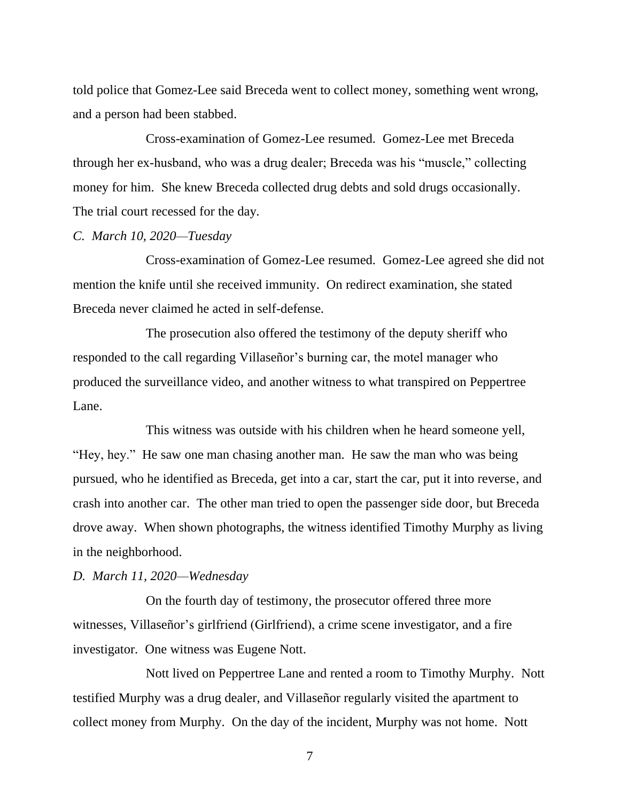told police that Gomez-Lee said Breceda went to collect money, something went wrong, and a person had been stabbed.

Cross-examination of Gomez-Lee resumed. Gomez-Lee met Breceda through her ex-husband, who was a drug dealer; Breceda was his "muscle," collecting money for him. She knew Breceda collected drug debts and sold drugs occasionally. The trial court recessed for the day.

#### *C. March 10, 2020—Tuesday*

Cross-examination of Gomez-Lee resumed. Gomez-Lee agreed she did not mention the knife until she received immunity. On redirect examination, she stated Breceda never claimed he acted in self-defense.

The prosecution also offered the testimony of the deputy sheriff who responded to the call regarding Villaseñor's burning car, the motel manager who produced the surveillance video, and another witness to what transpired on Peppertree Lane.

This witness was outside with his children when he heard someone yell, "Hey, hey." He saw one man chasing another man. He saw the man who was being pursued, who he identified as Breceda, get into a car, start the car, put it into reverse, and crash into another car. The other man tried to open the passenger side door, but Breceda drove away. When shown photographs, the witness identified Timothy Murphy as living in the neighborhood.

# *D. March 11, 2020—Wednesday*

On the fourth day of testimony, the prosecutor offered three more witnesses, Villaseñor's girlfriend (Girlfriend), a crime scene investigator, and a fire investigator. One witness was Eugene Nott.

Nott lived on Peppertree Lane and rented a room to Timothy Murphy. Nott testified Murphy was a drug dealer, and Villaseñor regularly visited the apartment to collect money from Murphy. On the day of the incident, Murphy was not home. Nott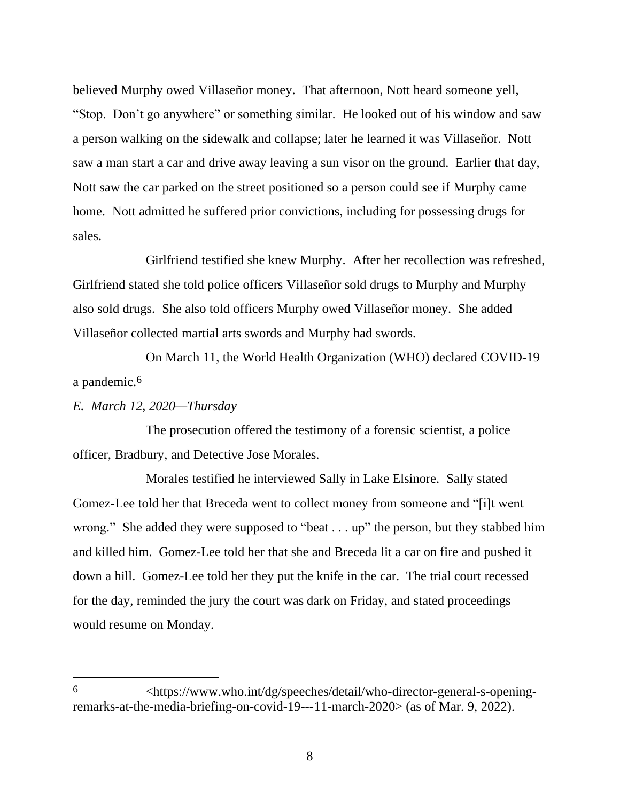believed Murphy owed Villaseñor money. That afternoon, Nott heard someone yell, "Stop. Don't go anywhere" or something similar. He looked out of his window and saw a person walking on the sidewalk and collapse; later he learned it was Villaseñor. Nott saw a man start a car and drive away leaving a sun visor on the ground. Earlier that day, Nott saw the car parked on the street positioned so a person could see if Murphy came home. Nott admitted he suffered prior convictions, including for possessing drugs for sales.

Girlfriend testified she knew Murphy. After her recollection was refreshed, Girlfriend stated she told police officers Villaseñor sold drugs to Murphy and Murphy also sold drugs. She also told officers Murphy owed Villaseñor money. She added Villaseñor collected martial arts swords and Murphy had swords.

On March 11, the World Health Organization (WHO) declared COVID-19 a pandemic. 6

# *E. March 12, 2020—Thursday*

The prosecution offered the testimony of a forensic scientist, a police officer, Bradbury, and Detective Jose Morales.

Morales testified he interviewed Sally in Lake Elsinore. Sally stated Gomez-Lee told her that Breceda went to collect money from someone and "[i]t went wrong." She added they were supposed to "beat . . . up" the person, but they stabbed him and killed him. Gomez-Lee told her that she and Breceda lit a car on fire and pushed it down a hill. Gomez-Lee told her they put the knife in the car. The trial court recessed for the day, reminded the jury the court was dark on Friday, and stated proceedings would resume on Monday.

<sup>6</sup> <https://www.who.int/dg/speeches/detail/who-director-general-s-openingremarks-at-the-media-briefing-on-covid-19---11-march-2020> (as of Mar. 9, 2022).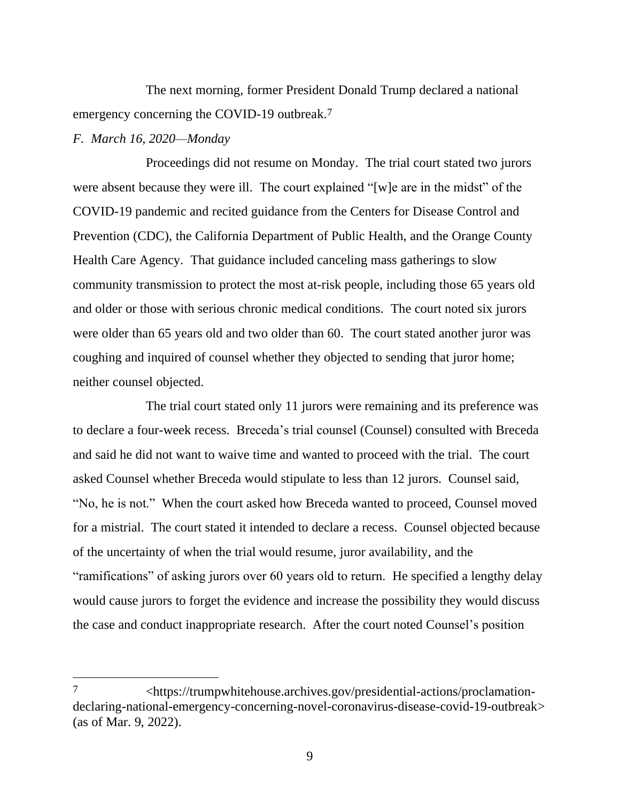The next morning, former President Donald Trump declared a national emergency concerning the COVID-19 outbreak.<sup>7</sup>

# *F. March 16, 2020—Monday*

Proceedings did not resume on Monday.The trial court stated two jurors were absent because they were ill.The court explained "[w]e are in the midst" of the COVID-19 pandemic and recited guidance from the Centers for Disease Control and Prevention (CDC), the California Department of Public Health, and the Orange County Health Care Agency. That guidance included canceling mass gatherings to slow community transmission to protect the most at-risk people, including those 65 years old and older or those with serious chronic medical conditions. The court noted six jurors were older than 65 years old and two older than 60. The court stated another juror was coughing and inquired of counsel whether they objected to sending that juror home; neither counsel objected.

The trial court stated only 11 jurors were remaining and its preference was to declare a four-week recess.Breceda's trial counsel (Counsel) consulted with Breceda and said he did not want to waive time and wanted to proceed with the trial. The court asked Counsel whether Breceda would stipulate to less than 12 jurors. Counsel said, "No, he is not." When the court asked how Breceda wanted to proceed, Counsel moved for a mistrial. The court stated it intended to declare a recess. Counsel objected because of the uncertainty of when the trial would resume, juror availability, and the "ramifications" of asking jurors over 60 years old to return. He specified a lengthy delay would cause jurors to forget the evidence and increase the possibility they would discuss the case and conduct inappropriate research. After the court noted Counsel's position

<sup>7</sup> <https://trumpwhitehouse.archives.gov/presidential-actions/proclamationdeclaring-national-emergency-concerning-novel-coronavirus-disease-covid-19-outbreak> (as of Mar. 9, 2022).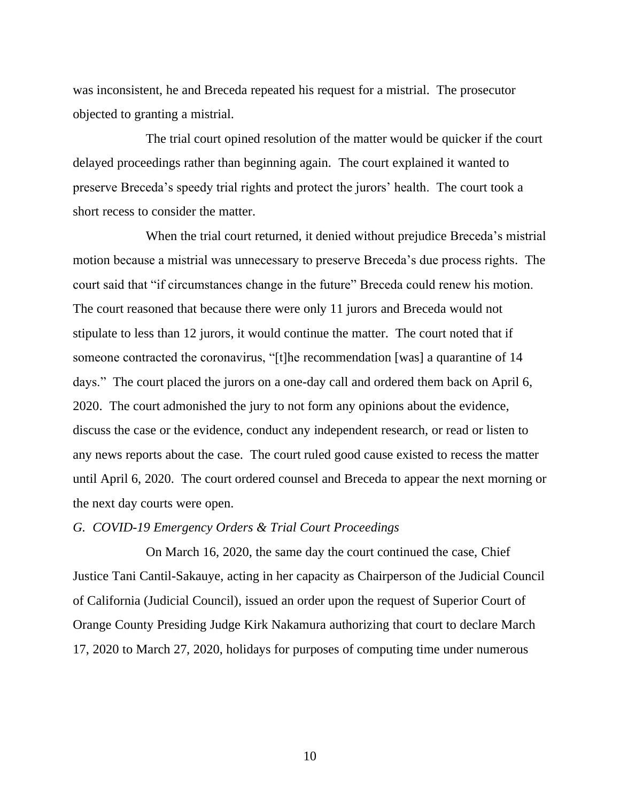was inconsistent, he and Breceda repeated his request for a mistrial. The prosecutor objected to granting a mistrial.

The trial court opined resolution of the matter would be quicker if the court delayed proceedings rather than beginning again. The court explained it wanted to preserve Breceda's speedy trial rights and protect the jurors' health. The court took a short recess to consider the matter.

When the trial court returned, it denied without prejudice Breceda's mistrial motion because a mistrial was unnecessary to preserve Breceda's due process rights.The court said that "if circumstances change in the future" Breceda could renew his motion. The court reasoned that because there were only 11 jurors and Breceda would not stipulate to less than 12 jurors, it would continue the matter. The court noted that if someone contracted the coronavirus, "[t]he recommendation [was] a quarantine of 14 days." The court placed the jurors on a one-day call and ordered them back on April 6, 2020. The court admonished the jury to not form any opinions about the evidence, discuss the case or the evidence, conduct any independent research, or read or listen to any news reports about the case. The court ruled good cause existed to recess the matter until April 6, 2020. The court ordered counsel and Breceda to appear the next morning or the next day courts were open.

#### *G. COVID-19 Emergency Orders & Trial Court Proceedings*

On March 16, 2020, the same day the court continued the case, Chief Justice Tani Cantil-Sakauye, acting in her capacity as Chairperson of the Judicial Council of California (Judicial Council), issued an order upon the request of Superior Court of Orange County Presiding Judge Kirk Nakamura authorizing that court to declare March 17, 2020 to March 27, 2020, holidays for purposes of computing time under numerous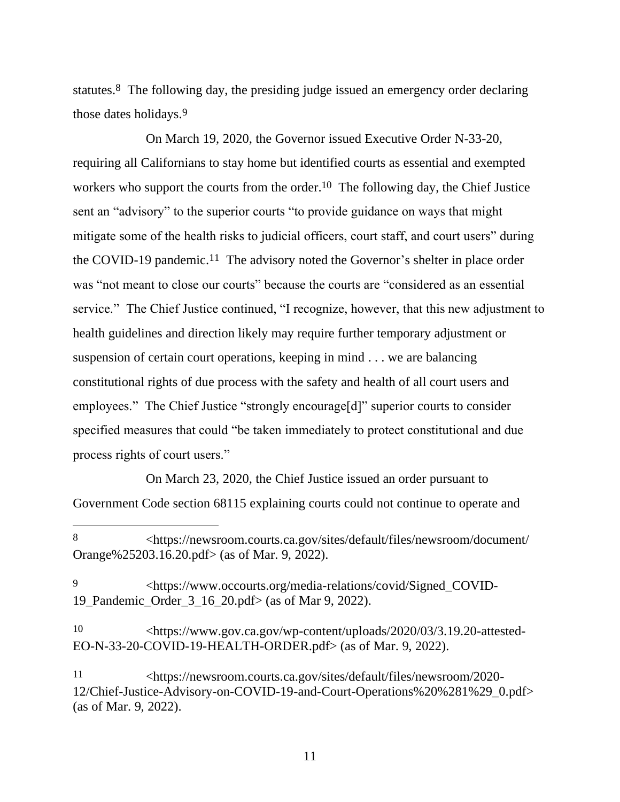statutes.<sup>8</sup> The following day, the presiding judge issued an emergency order declaring those dates holidays.9

On March 19, 2020, the Governor issued Executive Order N-33-20, requiring all Californians to stay home but identified courts as essential and exempted workers who support the courts from the order.<sup>10</sup> The following day, the Chief Justice sent an "advisory" to the superior courts "to provide guidance on ways that might mitigate some of the health risks to judicial officers, court staff, and court users" during the COVID-19 pandemic.<sup>11</sup> The advisory noted the Governor's shelter in place order was "not meant to close our courts" because the courts are "considered as an essential service." The Chief Justice continued, "I recognize, however, that this new adjustment to health guidelines and direction likely may require further temporary adjustment or suspension of certain court operations, keeping in mind . . . we are balancing constitutional rights of due process with the safety and health of all court users and employees." The Chief Justice "strongly encourage[d]" superior courts to consider specified measures that could "be taken immediately to protect constitutional and due process rights of court users."

On March 23, 2020, the Chief Justice issued an order pursuant to Government Code section 68115 explaining courts could not continue to operate and

<sup>8</sup> <https://newsroom.courts.ca.gov/sites/default/files/newsroom/document/ Orange%25203.16.20.pdf> (as of Mar. 9, 2022).

<sup>9</sup> <https://www.occourts.org/media-relations/covid/Signed\_COVID-19\_Pandemic\_Order\_3\_16\_20.pdf> (as of Mar 9, 2022).

<sup>10</sup> <https://www.gov.ca.gov/wp-content/uploads/2020/03/3.19.20-attested-EO-N-33-20-COVID-19-HEALTH-ORDER.pdf> (as of Mar. 9, 2022).

<sup>11</sup> <https://newsroom.courts.ca.gov/sites/default/files/newsroom/2020- 12/Chief-Justice-Advisory-on-COVID-19-and-Court-Operations%20%281%29\_0.pdf> (as of Mar. 9, 2022).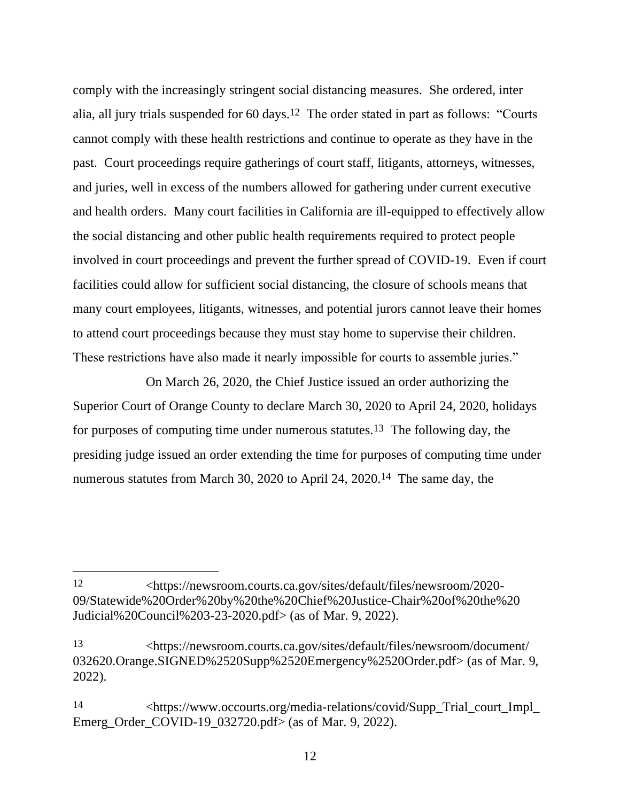comply with the increasingly stringent social distancing measures. She ordered, inter alia, all jury trials suspended for 60 days.12 The order stated in part as follows: "Courts cannot comply with these health restrictions and continue to operate as they have in the past. Court proceedings require gatherings of court staff, litigants, attorneys, witnesses, and juries, well in excess of the numbers allowed for gathering under current executive and health orders. Many court facilities in California are ill-equipped to effectively allow the social distancing and other public health requirements required to protect people involved in court proceedings and prevent the further spread of COVID-19. Even if court facilities could allow for sufficient social distancing, the closure of schools means that many court employees, litigants, witnesses, and potential jurors cannot leave their homes to attend court proceedings because they must stay home to supervise their children. These restrictions have also made it nearly impossible for courts to assemble juries."

On March 26, 2020, the Chief Justice issued an order authorizing the Superior Court of Orange County to declare March 30, 2020 to April 24, 2020, holidays for purposes of computing time under numerous statutes.13 The following day, the presiding judge issued an order extending the time for purposes of computing time under numerous statutes from March 30, 2020 to April 24, 2020.14The same day, the

<sup>12</sup> <https://newsroom.courts.ca.gov/sites/default/files/newsroom/2020- 09/Statewide%20Order%20by%20the%20Chief%20Justice-Chair%20of%20the%20 Judicial%20Council%203-23-2020.pdf> (as of Mar. 9, 2022).

<sup>13</sup> <https://newsroom.courts.ca.gov/sites/default/files/newsroom/document/ 032620.Orange.SIGNED%2520Supp%2520Emergency%2520Order.pdf> (as of Mar. 9, 2022).

<sup>14</sup> <https://www.occourts.org/media-relations/covid/Supp\_Trial\_court\_Impl\_ Emerg\_Order\_COVID-19\_032720.pdf> (as of Mar. 9, 2022).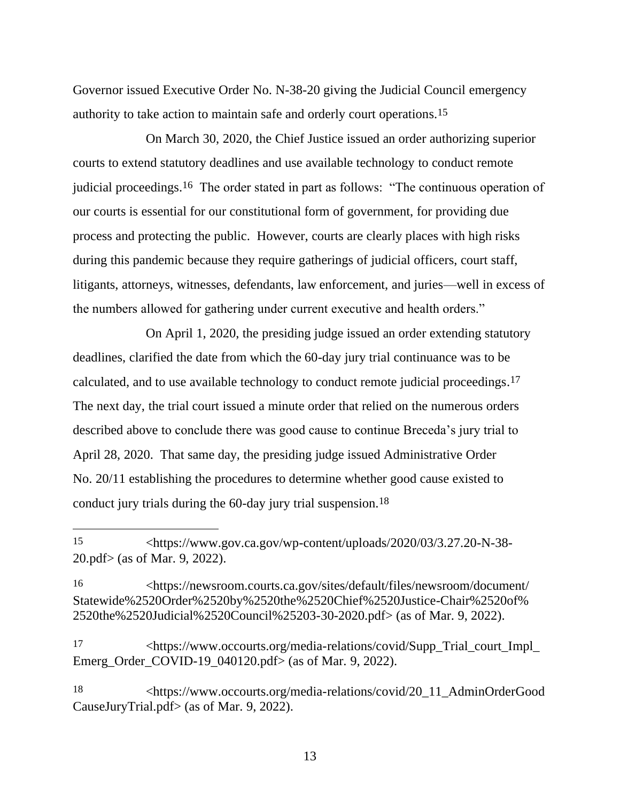Governor issued Executive Order No. N-38-20 giving the Judicial Council emergency authority to take action to maintain safe and orderly court operations. 15

On March 30, 2020, the Chief Justice issued an order authorizing superior courts to extend statutory deadlines and use available technology to conduct remote judicial proceedings.<sup>16</sup> The order stated in part as follows: "The continuous operation of our courts is essential for our constitutional form of government, for providing due process and protecting the public. However, courts are clearly places with high risks during this pandemic because they require gatherings of judicial officers, court staff, litigants, attorneys, witnesses, defendants, law enforcement, and juries—well in excess of the numbers allowed for gathering under current executive and health orders."

On April 1, 2020, the presiding judge issued an order extending statutory deadlines, clarified the date from which the 60-day jury trial continuance was to be calculated, and to use available technology to conduct remote judicial proceedings.<sup>17</sup> The next day, the trial court issued a minute order that relied on the numerous orders described above to conclude there was good cause to continue Breceda's jury trial to April 28, 2020. That same day, the presiding judge issued Administrative Order No. 20/11 establishing the procedures to determine whether good cause existed to conduct jury trials during the 60-day jury trial suspension.18

17 <https://www.occourts.org/media-relations/covid/Supp\_Trial\_court\_Impl\_ Emerg\_Order\_COVID-19\_040120.pdf> (as of Mar. 9, 2022).

18 <https://www.occourts.org/media-relations/covid/20\_11\_AdminOrderGood CauseJuryTrial.pdf> (as of Mar. 9, 2022).

<sup>15</sup> <https://www.gov.ca.gov/wp-content/uploads/2020/03/3.27.20-N-38- 20.pdf> (as of Mar. 9, 2022).

<sup>16</sup> <https://newsroom.courts.ca.gov/sites/default/files/newsroom/document/ Statewide%2520Order%2520by%2520the%2520Chief%2520Justice-Chair%2520of% 2520the%2520Judicial%2520Council%25203-30-2020.pdf> (as of Mar. 9, 2022).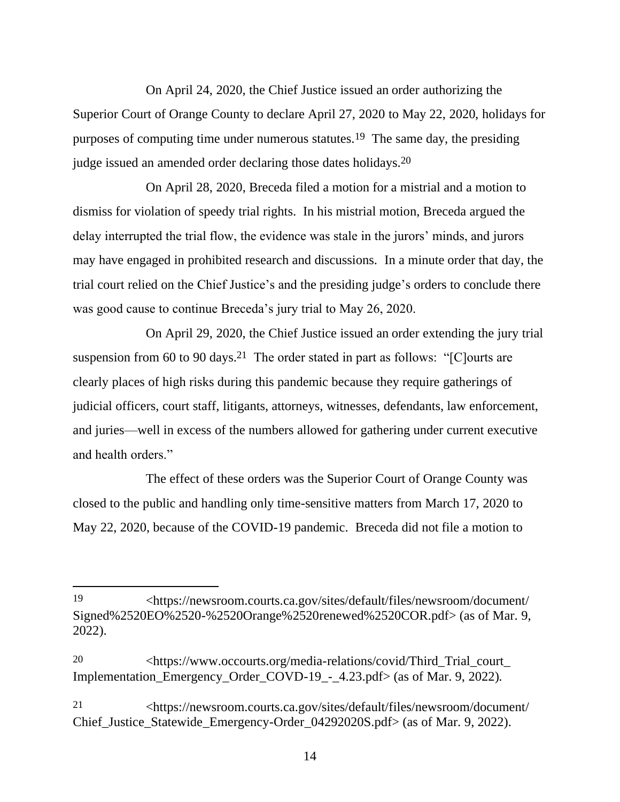On April 24, 2020, the Chief Justice issued an order authorizing the Superior Court of Orange County to declare April 27, 2020 to May 22, 2020, holidays for purposes of computing time under numerous statutes.19 The same day, the presiding judge issued an amended order declaring those dates holidays.20

On April 28, 2020, Breceda filed a motion for a mistrial and a motion to dismiss for violation of speedy trial rights.In his mistrial motion, Breceda argued the delay interrupted the trial flow, the evidence was stale in the jurors' minds, and jurors may have engaged in prohibited research and discussions. In a minute order that day, the trial court relied on the Chief Justice's and the presiding judge's orders to conclude there was good cause to continue Breceda's jury trial to May 26, 2020.

On April 29, 2020, the Chief Justice issued an order extending the jury trial suspension from 60 to 90 days.<sup>21</sup> The order stated in part as follows: "[C]ourts are clearly places of high risks during this pandemic because they require gatherings of judicial officers, court staff, litigants, attorneys, witnesses, defendants, law enforcement, and juries—well in excess of the numbers allowed for gathering under current executive and health orders."

The effect of these orders was the Superior Court of Orange County was closed to the public and handling only time-sensitive matters from March 17, 2020 to May 22, 2020, because of the COVID-19 pandemic. Breceda did not file a motion to

<sup>19</sup> <https://newsroom.courts.ca.gov/sites/default/files/newsroom/document/ Signed%2520EO%2520-%2520Orange%2520renewed%2520COR.pdf> (as of Mar. 9, 2022).

<sup>20</sup> <https://www.occourts.org/media-relations/covid/Third\_Trial\_court\_ Implementation\_Emergency\_Order\_COVD-19\_-\_4.23.pdf> (as of Mar. 9, 2022).

<sup>21</sup> <https://newsroom.courts.ca.gov/sites/default/files/newsroom/document/ Chief\_Justice\_Statewide\_Emergency-Order\_04292020S.pdf> (as of Mar. 9, 2022).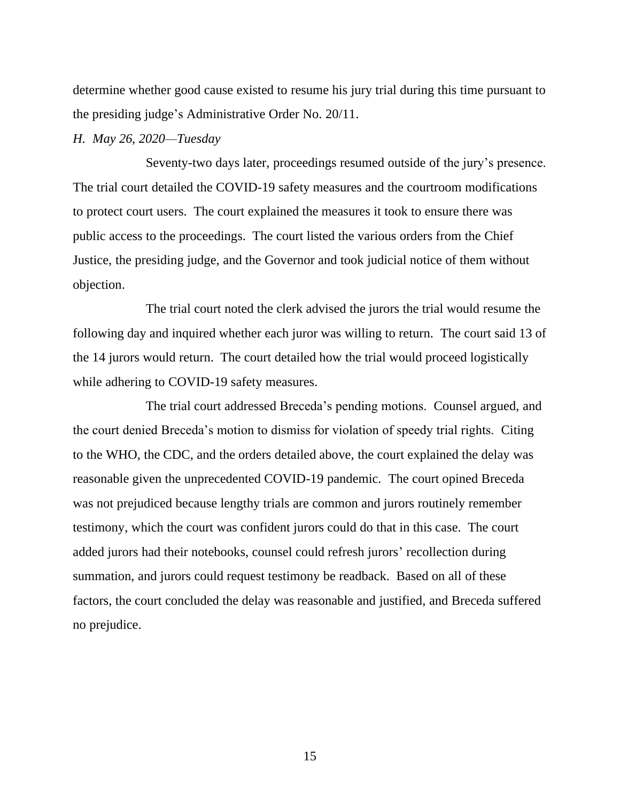determine whether good cause existed to resume his jury trial during this time pursuant to the presiding judge's Administrative Order No. 20/11.

#### *H. May 26, 2020—Tuesday*

Seventy-two days later, proceedings resumed outside of the jury's presence. The trial court detailed the COVID-19 safety measures and the courtroom modifications to protect court users. The court explained the measures it took to ensure there was public access to the proceedings. The court listed the various orders from the Chief Justice, the presiding judge, and the Governor and took judicial notice of them without objection.

The trial court noted the clerk advised the jurors the trial would resume the following day and inquired whether each juror was willing to return. The court said 13 of the 14 jurors would return. The court detailed how the trial would proceed logistically while adhering to COVID-19 safety measures.

The trial court addressed Breceda's pending motions.Counsel argued, and the court denied Breceda's motion to dismiss for violation of speedy trial rights. Citing to the WHO, the CDC, and the orders detailed above, the court explained the delay was reasonable given the unprecedented COVID-19 pandemic. The court opined Breceda was not prejudiced because lengthy trials are common and jurors routinely remember testimony, which the court was confident jurors could do that in this case. The court added jurors had their notebooks, counsel could refresh jurors' recollection during summation, and jurors could request testimony be readback. Based on all of these factors, the court concluded the delay was reasonable and justified, and Breceda suffered no prejudice.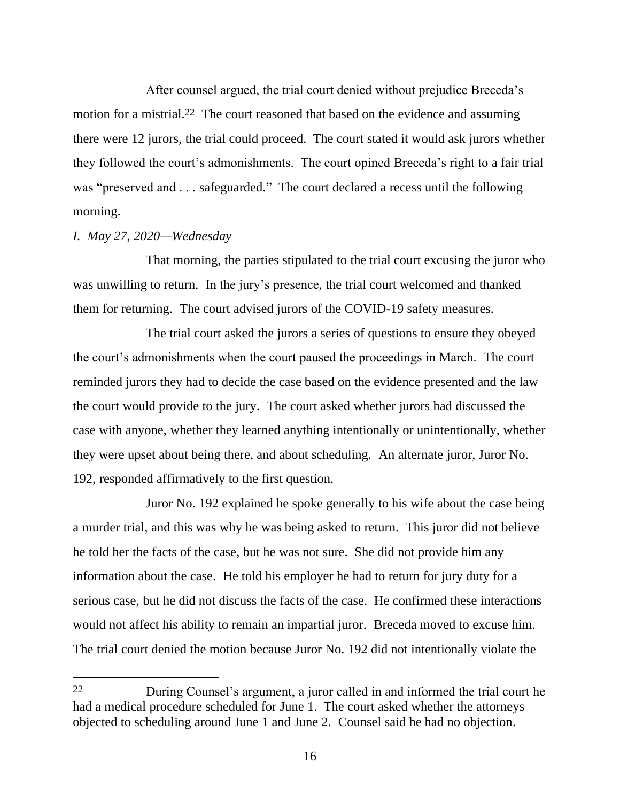After counsel argued, the trial court denied without prejudice Breceda's motion for a mistrial.<sup>22</sup> The court reasoned that based on the evidence and assuming there were 12 jurors, the trial could proceed. The court stated it would ask jurors whether they followed the court's admonishments. The court opined Breceda's right to a fair trial was "preserved and . . . safeguarded." The court declared a recess until the following morning.

#### *I. May 27, 2020—Wednesday*

That morning, the parties stipulated to the trial court excusing the juror who was unwilling to return. In the jury's presence, the trial court welcomed and thanked them for returning. The court advised jurors of the COVID-19 safety measures.

The trial court asked the jurors a series of questions to ensure they obeyed the court's admonishments when the court paused the proceedings in March. The court reminded jurors they had to decide the case based on the evidence presented and the law the court would provide to the jury. The court asked whether jurors had discussed the case with anyone, whether they learned anything intentionally or unintentionally, whether they were upset about being there, and about scheduling. An alternate juror, Juror No. 192, responded affirmatively to the first question.

Juror No. 192 explained he spoke generally to his wife about the case being a murder trial, and this was why he was being asked to return. This juror did not believe he told her the facts of the case, but he was not sure. She did not provide him any information about the case. He told his employer he had to return for jury duty for a serious case, but he did not discuss the facts of the case. He confirmed these interactions would not affect his ability to remain an impartial juror. Breceda moved to excuse him. The trial court denied the motion because Juror No. 192 did not intentionally violate the

<sup>22</sup> During Counsel's argument, a juror called in and informed the trial court he had a medical procedure scheduled for June 1. The court asked whether the attorneys objected to scheduling around June 1 and June 2.Counsel said he had no objection.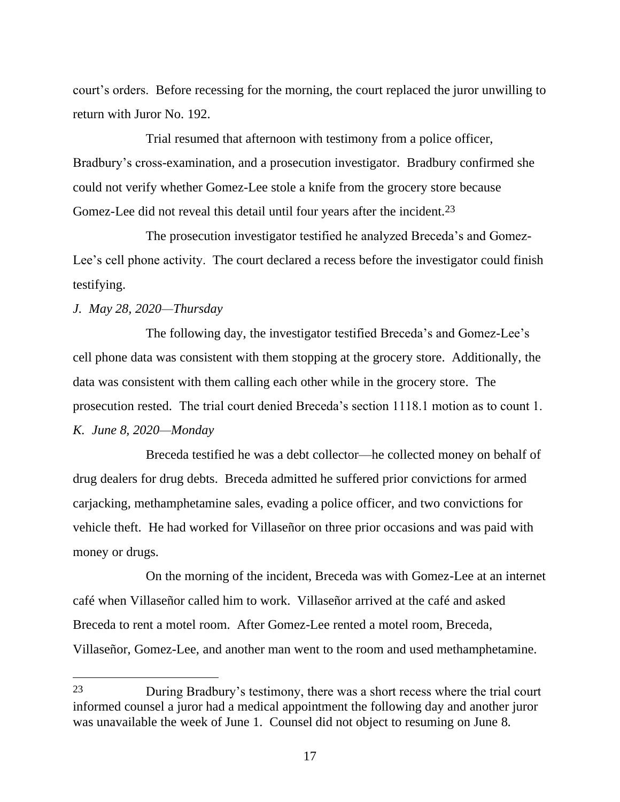court's orders. Before recessing for the morning, the court replaced the juror unwilling to return with Juror No. 192.

Trial resumed that afternoon with testimony from a police officer, Bradbury's cross-examination, and a prosecution investigator. Bradbury confirmed she could not verify whether Gomez-Lee stole a knife from the grocery store because Gomez-Lee did not reveal this detail until four years after the incident.<sup>23</sup>

The prosecution investigator testified he analyzed Breceda's and Gomez-Lee's cell phone activity. The court declared a recess before the investigator could finish testifying.

# *J. May 28, 2020—Thursday*

The following day, the investigator testified Breceda's and Gomez-Lee's cell phone data was consistent with them stopping at the grocery store. Additionally, the data was consistent with them calling each other while in the grocery store. The prosecution rested. The trial court denied Breceda's section 1118.1 motion as to count 1. *K. June 8, 2020—Monday*

Breceda testified he was a debt collector—he collected money on behalf of drug dealers for drug debts. Breceda admitted he suffered prior convictions for armed carjacking, methamphetamine sales, evading a police officer, and two convictions for vehicle theft. He had worked for Villaseñor on three prior occasions and was paid with money or drugs.

On the morning of the incident, Breceda was with Gomez-Lee at an internet café when Villaseñor called him to work. Villaseñor arrived at the café and asked Breceda to rent a motel room. After Gomez-Lee rented a motel room, Breceda, Villaseñor, Gomez-Lee, and another man went to the room and used methamphetamine.

<sup>23</sup> During Bradbury's testimony, there was a short recess where the trial court informed counsel a juror had a medical appointment the following day and another juror was unavailable the week of June 1. Counsel did not object to resuming on June 8.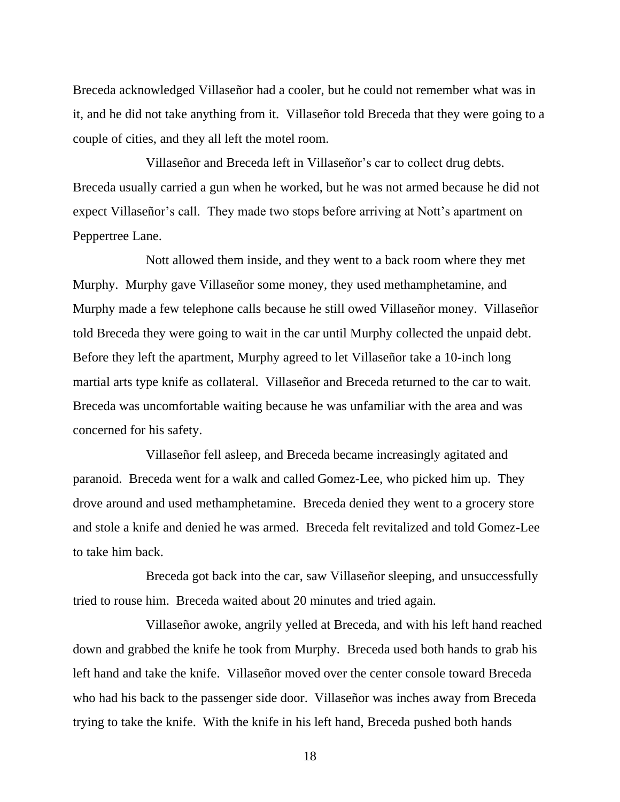Breceda acknowledged Villaseñor had a cooler, but he could not remember what was in it, and he did not take anything from it. Villaseñor told Breceda that they were going to a couple of cities, and they all left the motel room.

Villaseñor and Breceda left in Villaseñor's car to collect drug debts. Breceda usually carried a gun when he worked, but he was not armed because he did not expect Villaseñor's call. They made two stops before arriving at Nott's apartment on Peppertree Lane.

Nott allowed them inside, and they went to a back room where they met Murphy. Murphy gave Villaseñor some money, they used methamphetamine, and Murphy made a few telephone calls because he still owed Villaseñor money. Villaseñor told Breceda they were going to wait in the car until Murphy collected the unpaid debt. Before they left the apartment, Murphy agreed to let Villaseñor take a 10-inch long martial arts type knife as collateral. Villaseñor and Breceda returned to the car to wait. Breceda was uncomfortable waiting because he was unfamiliar with the area and was concerned for his safety.

Villaseñor fell asleep, and Breceda became increasingly agitated and paranoid. Breceda went for a walk and called Gomez-Lee, who picked him up. They drove around and used methamphetamine. Breceda denied they went to a grocery store and stole a knife and denied he was armed. Breceda felt revitalized and told Gomez-Lee to take him back.

Breceda got back into the car, saw Villaseñor sleeping, and unsuccessfully tried to rouse him. Breceda waited about 20 minutes and tried again.

Villaseñor awoke, angrily yelled at Breceda, and with his left hand reached down and grabbed the knife he took from Murphy. Breceda used both hands to grab his left hand and take the knife. Villaseñor moved over the center console toward Breceda who had his back to the passenger side door. Villaseñor was inches away from Breceda trying to take the knife. With the knife in his left hand, Breceda pushed both hands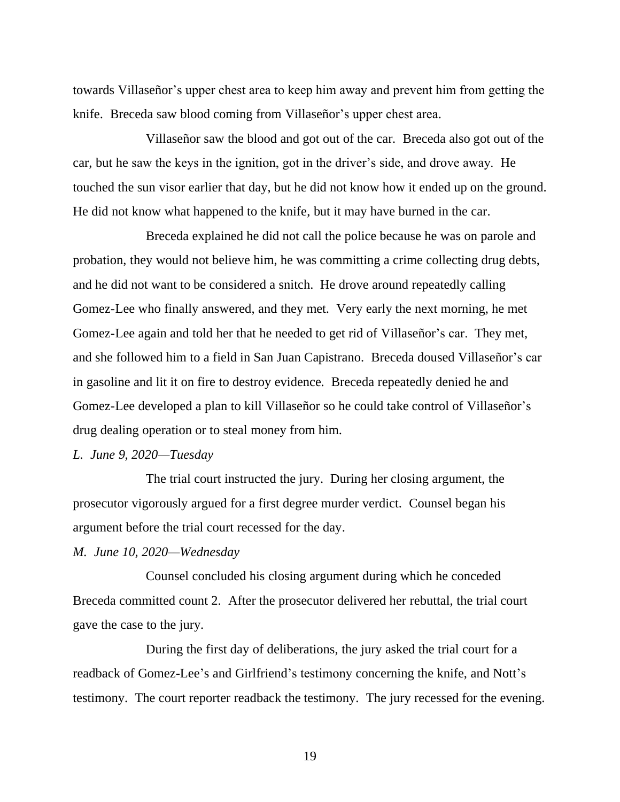towards Villaseñor's upper chest area to keep him away and prevent him from getting the knife. Breceda saw blood coming from Villaseñor's upper chest area.

Villaseñor saw the blood and got out of the car. Breceda also got out of the car, but he saw the keys in the ignition, got in the driver's side, and drove away. He touched the sun visor earlier that day, but he did not know how it ended up on the ground. He did not know what happened to the knife, but it may have burned in the car.

Breceda explained he did not call the police because he was on parole and probation, they would not believe him, he was committing a crime collecting drug debts, and he did not want to be considered a snitch. He drove around repeatedly calling Gomez-Lee who finally answered, and they met.Very early the next morning, he met Gomez-Lee again and told her that he needed to get rid of Villaseñor's car.They met, and she followed him to a field in San Juan Capistrano.Breceda doused Villaseñor's car in gasoline and lit it on fire to destroy evidence.Breceda repeatedly denied he and Gomez-Lee developed a plan to kill Villaseñor so he could take control of Villaseñor's drug dealing operation or to steal money from him.

#### *L. June 9, 2020—Tuesday*

The trial court instructed the jury. During her closing argument, the prosecutor vigorously argued for a first degree murder verdict. Counsel began his argument before the trial court recessed for the day.

#### *M. June 10, 2020—Wednesday*

Counsel concluded his closing argument during which he conceded Breceda committed count 2. After the prosecutor delivered her rebuttal, the trial court gave the case to the jury.

During the first day of deliberations, the jury asked the trial court for a readback of Gomez-Lee's and Girlfriend's testimony concerning the knife, and Nott's testimony. The court reporter readback the testimony. The jury recessed for the evening.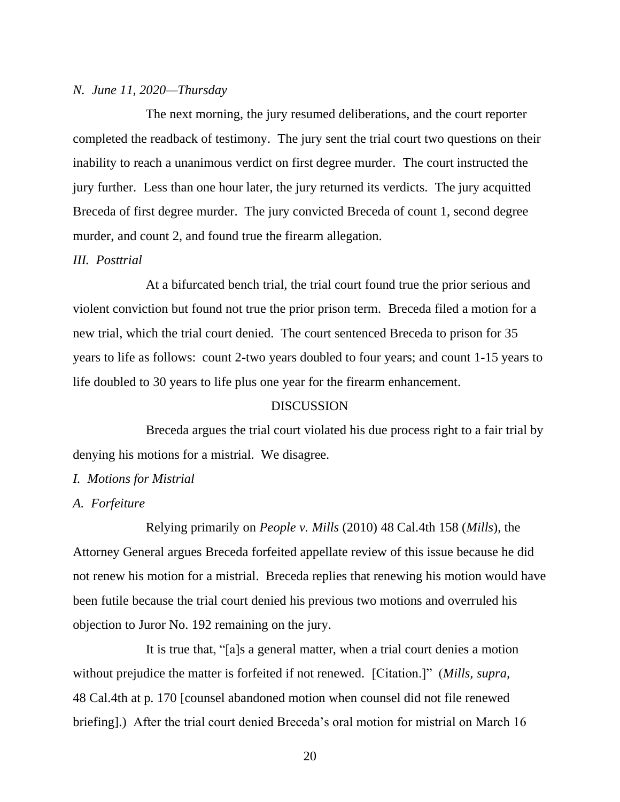# *N. June 11, 2020—Thursday*

The next morning, the jury resumed deliberations, and the court reporter completed the readback of testimony. The jury sent the trial court two questions on their inability to reach a unanimous verdict on first degree murder. The court instructed the jury further. Less than one hour later, the jury returned its verdicts. The jury acquitted Breceda of first degree murder. The jury convicted Breceda of count 1, second degree murder, and count 2, and found true the firearm allegation.

#### *III. Posttrial*

At a bifurcated bench trial, the trial court found true the prior serious and violent conviction but found not true the prior prison term. Breceda filed a motion for a new trial, which the trial court denied. The court sentenced Breceda to prison for 35 years to life as follows: count 2-two years doubled to four years; and count 1-15 years to life doubled to 30 years to life plus one year for the firearm enhancement.

#### DISCUSSION

Breceda argues the trial court violated his due process right to a fair trial by denying his motions for a mistrial. We disagree.

#### *I. Motions for Mistrial*

#### *A. Forfeiture*

Relying primarily on *People v. Mills* (2010) 48 Cal.4th 158 (*Mills*), the Attorney General argues Breceda forfeited appellate review of this issue because he did not renew his motion for a mistrial. Breceda replies that renewing his motion would have been futile because the trial court denied his previous two motions and overruled his objection to Juror No. 192 remaining on the jury.

It is true that, "[a]s a general matter, when a trial court denies a motion without prejudice the matter is forfeited if not renewed. [Citation.]" (*Mills, supra,* 48 Cal.4th at p. 170 [counsel abandoned motion when counsel did not file renewed briefing].) After the trial court denied Breceda's oral motion for mistrial on March 16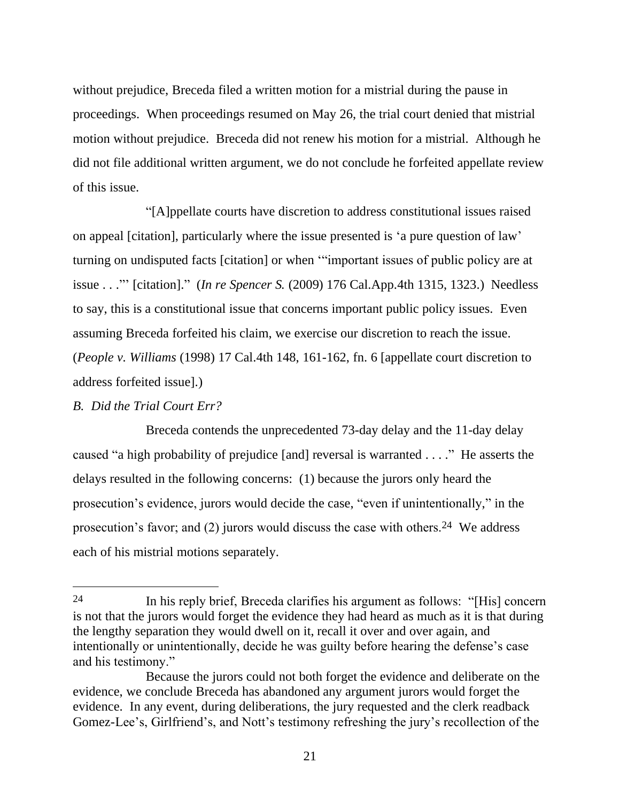without prejudice, Breceda filed a written motion for a mistrial during the pause in proceedings. When proceedings resumed on May 26, the trial court denied that mistrial motion without prejudice. Breceda did not renew his motion for a mistrial. Although he did not file additional written argument, we do not conclude he forfeited appellate review of this issue.

"[A]ppellate courts have discretion to address constitutional issues raised on appeal [citation], particularly where the issue presented is 'a pure question of law' turning on undisputed facts [citation] or when '"important issues of public policy are at issue . . ."' [citation]." (*In re Spencer S.* (2009) 176 Cal.App.4th 1315, 1323.) Needless to say, this is a constitutional issue that concerns important public policy issues. Even assuming Breceda forfeited his claim, we exercise our discretion to reach the issue. (*People v. Williams* (1998) 17 Cal.4th 148, 161-162, fn. 6 [appellate court discretion to address forfeited issue].)

# *B. Did the Trial Court Err?*

Breceda contends the unprecedented 73-day delay and the 11-day delay caused "a high probability of prejudice [and] reversal is warranted . . . ."He asserts the delays resulted in the following concerns: (1) because the jurors only heard the prosecution's evidence, jurors would decide the case, "even if unintentionally," in the prosecution's favor; and (2) jurors would discuss the case with others.24 We address each of his mistrial motions separately.

<sup>24</sup> In his reply brief, Breceda clarifies his argument as follows: "[His] concern is not that the jurors would forget the evidence they had heard as much as it is that during the lengthy separation they would dwell on it, recall it over and over again, and intentionally or unintentionally, decide he was guilty before hearing the defense's case and his testimony."

Because the jurors could not both forget the evidence and deliberate on the evidence, we conclude Breceda has abandoned any argument jurors would forget the evidence. In any event, during deliberations, the jury requested and the clerk readback Gomez-Lee's, Girlfriend's, and Nott's testimony refreshing the jury's recollection of the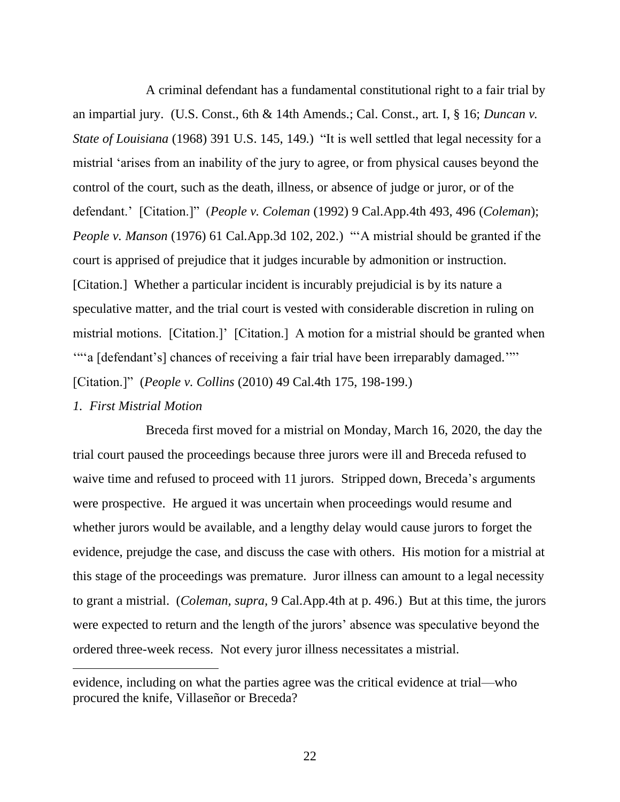A criminal defendant has a fundamental constitutional right to a fair trial by an impartial jury. (U.S. Const., 6th & 14th Amends.; Cal. Const., art. I, § 16; *Duncan v. State of Louisiana* (1968) 391 U.S. 145, 149.) "It is well settled that legal necessity for a mistrial 'arises from an inability of the jury to agree, or from physical causes beyond the control of the court, such as the death, illness, or absence of judge or juror, or of the defendant.' [Citation.]" (*People v. Coleman* (1992) 9 Cal.App.4th 493, 496 (*Coleman*); *People v. Manson* (1976) 61 Cal.App.3d 102, 202.) "A mistrial should be granted if the court is apprised of prejudice that it judges incurable by admonition or instruction. [Citation.] Whether a particular incident is incurably prejudicial is by its nature a speculative matter, and the trial court is vested with considerable discretion in ruling on mistrial motions. [Citation.]' [Citation.] A motion for a mistrial should be granted when '"'a [defendant's] chances of receiving a fair trial have been irreparably damaged.'"' [Citation.]" (*People v. Collins* (2010) 49 Cal.4th 175, 198-199.)

#### *1. First Mistrial Motion*

Breceda first moved for a mistrial on Monday, March 16, 2020, the day the trial court paused the proceedings because three jurors were ill and Breceda refused to waive time and refused to proceed with 11 jurors. Stripped down, Breceda's arguments were prospective. He argued it was uncertain when proceedings would resume and whether jurors would be available, and a lengthy delay would cause jurors to forget the evidence, prejudge the case, and discuss the case with others. His motion for a mistrial at this stage of the proceedings was premature. Juror illness can amount to a legal necessity to grant a mistrial. (*Coleman, supra,* 9 Cal.App.4th at p. 496.) But at this time, the jurors were expected to return and the length of the jurors' absence was speculative beyond the ordered three-week recess. Not every juror illness necessitates a mistrial.

evidence, including on what the parties agree was the critical evidence at trial—who procured the knife, Villaseñor or Breceda?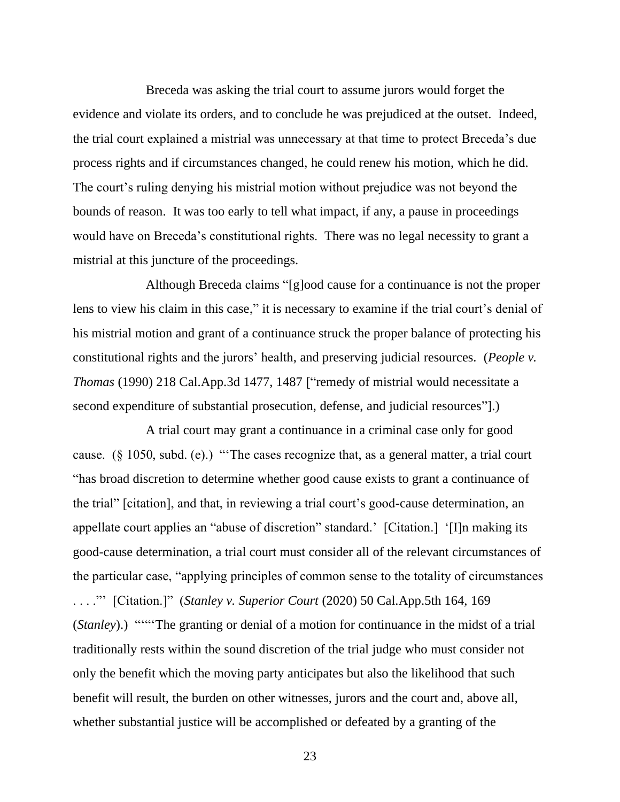Breceda was asking the trial court to assume jurors would forget the evidence and violate its orders, and to conclude he was prejudiced at the outset. Indeed, the trial court explained a mistrial was unnecessary at that time to protect Breceda's due process rights and if circumstances changed, he could renew his motion, which he did. The court's ruling denying his mistrial motion without prejudice was not beyond the bounds of reason. It was too early to tell what impact, if any, a pause in proceedings would have on Breceda's constitutional rights. There was no legal necessity to grant a mistrial at this juncture of the proceedings.

Although Breceda claims "[g]ood cause for a continuance is not the proper lens to view his claim in this case," it is necessary to examine if the trial court's denial of his mistrial motion and grant of a continuance struck the proper balance of protecting his constitutional rights and the jurors' health, and preserving judicial resources. (*People v. Thomas* (1990) 218 Cal.App.3d 1477, 1487 ["remedy of mistrial would necessitate a second expenditure of substantial prosecution, defense, and judicial resources"].)

A trial court may grant a continuance in a criminal case only for good cause. (§ 1050, subd. (e).) "'The cases recognize that, as a general matter, a trial court "has broad discretion to determine whether good cause exists to grant a continuance of the trial" [citation], and that, in reviewing a trial court's good-cause determination, an appellate court applies an "abuse of discretion" standard.' [Citation.] '[I]n making its good-cause determination, a trial court must consider all of the relevant circumstances of the particular case, "applying principles of common sense to the totality of circumstances . . . ."' [Citation.]" (*Stanley v. Superior Court* (2020) 50 Cal.App.5th 164, 169 (*Stanley*).) """The granting or denial of a motion for continuance in the midst of a trial traditionally rests within the sound discretion of the trial judge who must consider not only the benefit which the moving party anticipates but also the likelihood that such benefit will result, the burden on other witnesses, jurors and the court and, above all, whether substantial justice will be accomplished or defeated by a granting of the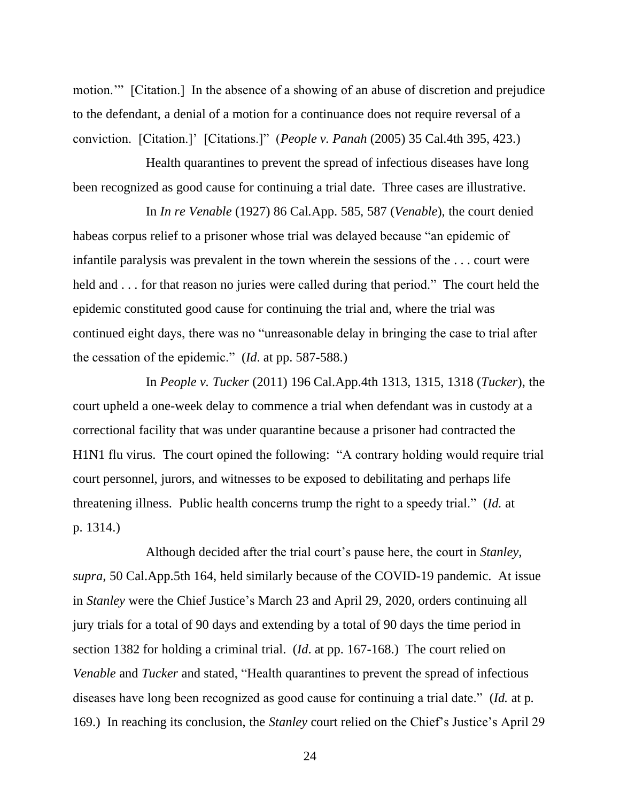motion.'" [Citation.] In the absence of a showing of an abuse of discretion and prejudice to the defendant, a denial of a motion for a continuance does not require reversal of a conviction. [Citation.]' [Citations.]" (*People v. Panah* (2005) 35 Cal.4th 395, 423.)

Health quarantines to prevent the spread of infectious diseases have long been recognized as good cause for continuing a trial date. Three cases are illustrative.

In *In re Venable* (1927) 86 Cal.App. 585, 587 (*Venable*), the court denied habeas corpus relief to a prisoner whose trial was delayed because "an epidemic of infantile paralysis was prevalent in the town wherein the sessions of the . . . court were held and . . . for that reason no juries were called during that period." The court held the epidemic constituted good cause for continuing the trial and, where the trial was continued eight days, there was no "unreasonable delay in bringing the case to trial after the cessation of the epidemic." (*Id*. at pp. 587-588.)

In *People v. Tucker* (2011) 196 Cal.App.4th 1313, 1315, 1318 (*Tucker*), the court upheld a one-week delay to commence a trial when defendant was in custody at a correctional facility that was under quarantine because a prisoner had contracted the H1N1 flu virus. The court opined the following: "A contrary holding would require trial court personnel, jurors, and witnesses to be exposed to debilitating and perhaps life threatening illness. Public health concerns trump the right to a speedy trial." (*Id.* at p. 1314.)

Although decided after the trial court's pause here, the court in *Stanley, supra,* 50 Cal.App.5th 164, held similarly because of the COVID-19 pandemic. At issue in *Stanley* were the Chief Justice's March 23 and April 29, 2020, orders continuing all jury trials for a total of 90 days and extending by a total of 90 days the time period in section 1382 for holding a criminal trial. (*Id*. at pp. 167-168.) The court relied on *Venable* and *Tucker* and stated, "Health quarantines to prevent the spread of infectious diseases have long been recognized as good cause for continuing a trial date." (*Id.* at p. 169.) In reaching its conclusion, the *Stanley* court relied on the Chief's Justice's April 29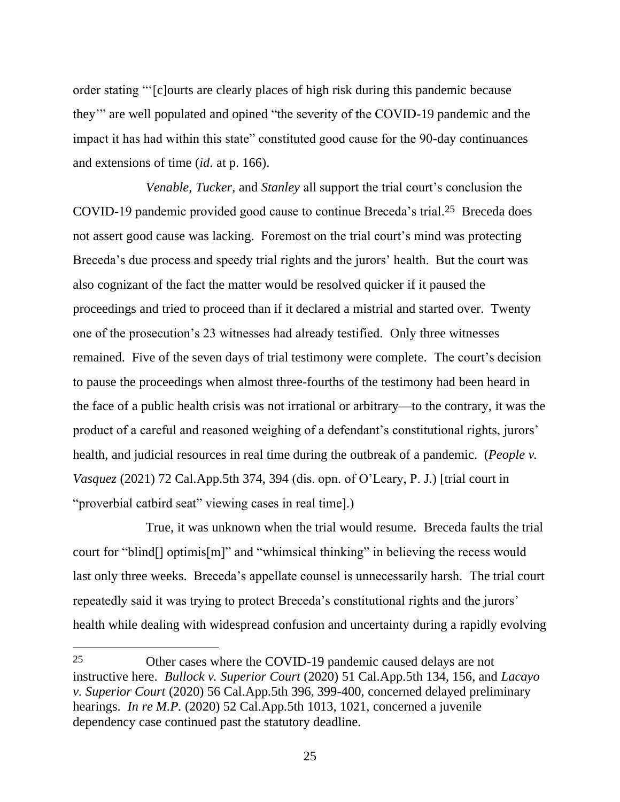order stating "'[c]ourts are clearly places of high risk during this pandemic because they'" are well populated and opined "the severity of the COVID-19 pandemic and the impact it has had within this state" constituted good cause for the 90-day continuances and extensions of time (*id*. at p. 166).

*Venable*, *Tucker*, and *Stanley* all support the trial court's conclusion the COVID-19 pandemic provided good cause to continue Breceda's trial. 25 Breceda does not assert good cause was lacking. Foremost on the trial court's mind was protecting Breceda's due process and speedy trial rights and the jurors' health. But the court was also cognizant of the fact the matter would be resolved quicker if it paused the proceedings and tried to proceed than if it declared a mistrial and started over. Twenty one of the prosecution's 23 witnesses had already testified. Only three witnesses remained. Five of the seven days of trial testimony were complete. The court's decision to pause the proceedings when almost three-fourths of the testimony had been heard in the face of a public health crisis was not irrational or arbitrary—to the contrary, it was the product of a careful and reasoned weighing of a defendant's constitutional rights, jurors' health, and judicial resources in real time during the outbreak of a pandemic. (*People v. Vasquez* (2021) 72 Cal.App.5th 374, 394 (dis. opn. of O'Leary, P. J.) [trial court in "proverbial catbird seat" viewing cases in real time].)

True, it was unknown when the trial would resume. Breceda faults the trial court for "blind[] optimis[m]" and "whimsical thinking" in believing the recess would last only three weeks. Breceda's appellate counsel is unnecessarily harsh. The trial court repeatedly said it was trying to protect Breceda's constitutional rights and the jurors' health while dealing with widespread confusion and uncertainty during a rapidly evolving

<sup>25</sup> Other cases where the COVID-19 pandemic caused delays are not instructive here. *Bullock v. Superior Court* (2020) 51 Cal.App.5th 134, 156, and *Lacayo v. Superior Court* (2020) 56 Cal.App.5th 396, 399-400, concerned delayed preliminary hearings. *In re M.P.* (2020) 52 Cal.App.5th 1013, 1021, concerned a juvenile dependency case continued past the statutory deadline.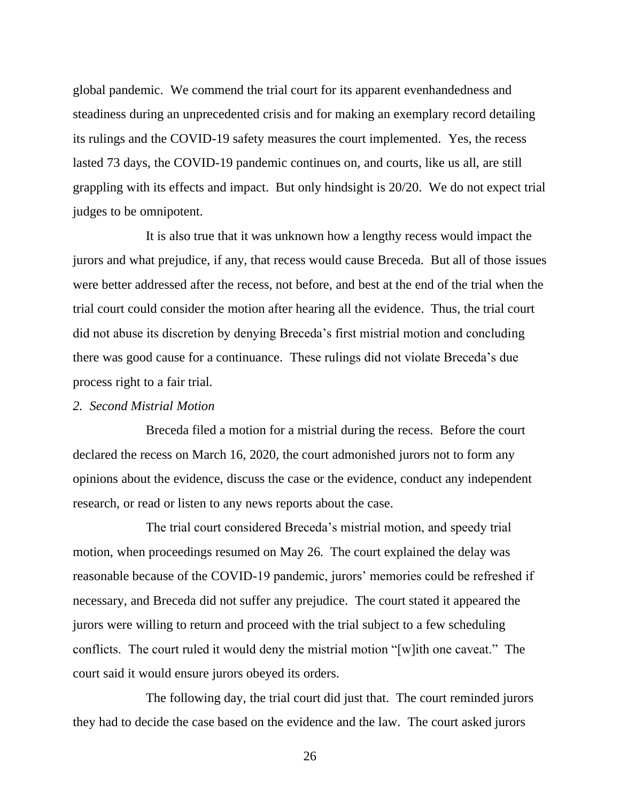global pandemic. We commend the trial court for its apparent evenhandedness and steadiness during an unprecedented crisis and for making an exemplary record detailing its rulings and the COVID-19 safety measures the court implemented. Yes, the recess lasted 73 days, the COVID-19 pandemic continues on, and courts, like us all, are still grappling with its effects and impact. But only hindsight is 20/20. We do not expect trial judges to be omnipotent.

It is also true that it was unknown how a lengthy recess would impact the jurors and what prejudice, if any, that recess would cause Breceda. But all of those issues were better addressed after the recess, not before, and best at the end of the trial when the trial court could consider the motion after hearing all the evidence. Thus, the trial court did not abuse its discretion by denying Breceda's first mistrial motion and concluding there was good cause for a continuance. These rulings did not violate Breceda's due process right to a fair trial.

# *2. Second Mistrial Motion*

Breceda filed a motion for a mistrial during the recess. Before the court declared the recess on March 16, 2020, the court admonished jurors not to form any opinions about the evidence, discuss the case or the evidence, conduct any independent research, or read or listen to any news reports about the case.

The trial court considered Breceda's mistrial motion, and speedy trial motion, when proceedings resumed on May 26. The court explained the delay was reasonable because of the COVID-19 pandemic, jurors' memories could be refreshed if necessary, and Breceda did not suffer any prejudice. The court stated it appeared the jurors were willing to return and proceed with the trial subject to a few scheduling conflicts. The court ruled it would deny the mistrial motion "[w]ith one caveat." The court said it would ensure jurors obeyed its orders.

The following day, the trial court did just that. The court reminded jurors they had to decide the case based on the evidence and the law. The court asked jurors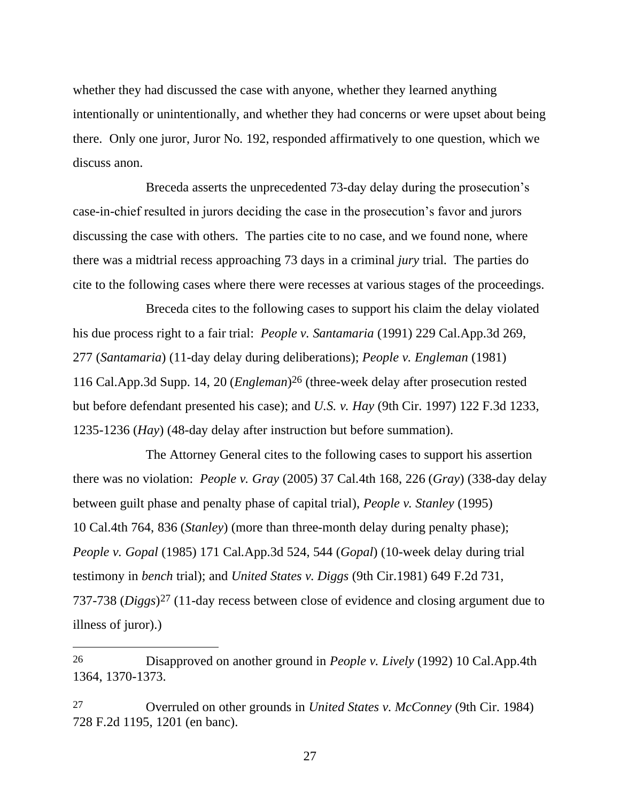whether they had discussed the case with anyone, whether they learned anything intentionally or unintentionally, and whether they had concerns or were upset about being there. Only one juror, Juror No. 192, responded affirmatively to one question, which we discuss anon.

Breceda asserts the unprecedented 73-day delay during the prosecution's case-in-chief resulted in jurors deciding the case in the prosecution's favor and jurors discussing the case with others. The parties cite to no case, and we found none, where there was a midtrial recess approaching 73 days in a criminal *jury* trial. The parties do cite to the following cases where there were recesses at various stages of the proceedings.

Breceda cites to the following cases to support his claim the delay violated his due process right to a fair trial: *People v. Santamaria* (1991) 229 Cal.App.3d 269, 277 (*Santamaria*) (11-day delay during deliberations); *People v. Engleman* (1981) 116 Cal.App.3d Supp. 14, 20 (*Engleman*) 26 (three-week delay after prosecution rested but before defendant presented his case); and *U.S. v. Hay* (9th Cir. 1997) 122 F.3d 1233, 1235-1236 (*Hay*) (48-day delay after instruction but before summation).

The Attorney General cites to the following cases to support his assertion there was no violation: *People v. Gray* (2005) 37 Cal.4th 168, 226 (*Gray*) (338-day delay between guilt phase and penalty phase of capital trial), *People v. Stanley* (1995) 10 Cal.4th 764, 836 (*Stanley*) (more than three-month delay during penalty phase); *People v. Gopal* (1985) 171 Cal.App.3d 524, 544 (*Gopal*) (10-week delay during trial testimony in *bench* trial); and *United States v. Diggs* (9th Cir.1981) 649 F.2d 731, 737-738 (*Diggs*) 27 (11-day recess between close of evidence and closing argument due to illness of juror).)

<sup>26</sup> Disapproved on another ground in *People v. Lively* (1992) 10 Cal.App.4th 1364, 1370-1373.

<sup>27</sup> Overruled on other grounds in *United States v. McConney* (9th Cir. 1984) 728 F.2d 1195, 1201 (en banc).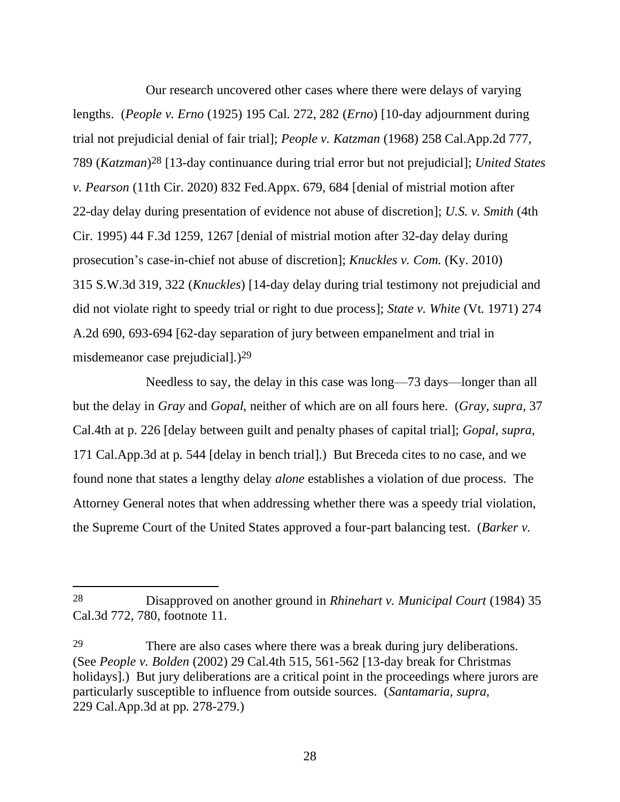Our research uncovered other cases where there were delays of varying lengths. (*People v. Erno* (1925) 195 Cal. 272, 282 (*Erno*) [10-day adjournment during trial not prejudicial denial of fair trial]; *People v. Katzman* (1968) 258 Cal.App.2d 777, 789 (*Katzman*) 28 [13-day continuance during trial error but not prejudicial]; *United States v. Pearson* (11th Cir. 2020) 832 Fed.Appx. 679, 684 [denial of mistrial motion after 22-day delay during presentation of evidence not abuse of discretion]; *U.S. v. Smith* (4th Cir. 1995) 44 F.3d 1259, 1267 [denial of mistrial motion after 32-day delay during prosecution's case-in-chief not abuse of discretion]; *Knuckles v. Com.* (Ky. 2010) 315 S.W.3d 319, 322 (*Knuckles*) [14-day delay during trial testimony not prejudicial and did not violate right to speedy trial or right to due process]; *State v. White* (Vt. 1971) 274 A.2d 690, 693-694 [62-day separation of jury between empanelment and trial in misdemeanor case prejudicial].)<sup>29</sup>

Needless to say, the delay in this case was long—73 days—longer than all but the delay in *Gray* and *Gopal*, neither of which are on all fours here. (*Gray, supra,* 37 Cal.4th at p. 226 [delay between guilt and penalty phases of capital trial]; *Gopal, supra,* 171 Cal.App.3d at p. 544 [delay in bench trial].) But Breceda cites to no case, and we found none that states a lengthy delay *alone* establishes a violation of due process. The Attorney General notes that when addressing whether there was a speedy trial violation, the Supreme Court of the United States approved a four-part balancing test. (*Barker v.* 

<sup>28</sup> Disapproved on another ground in *Rhinehart v. Municipal Court* (1984) 35 Cal.3d 772, 780, footnote 11.

<sup>29</sup> There are also cases where there was a break during jury deliberations. (See *People v. Bolden* (2002) 29 Cal.4th 515, 561-562 [13-day break for Christmas holidays].) But jury deliberations are a critical point in the proceedings where jurors are particularly susceptible to influence from outside sources. (*Santamaria, supra,* 229 Cal.App.3d at pp. 278-279.)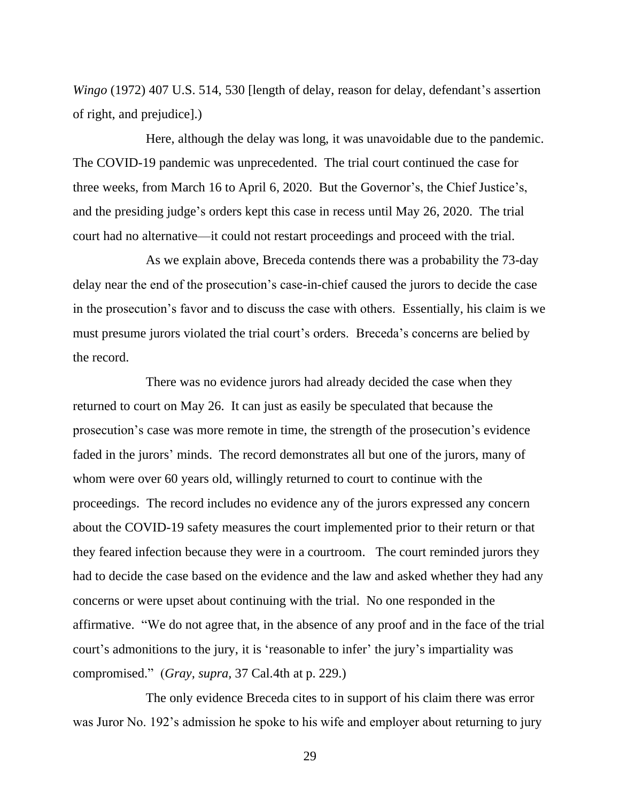*Wingo* (1972) 407 U.S. 514, 530 [length of delay, reason for delay, defendant's assertion of right, and prejudice].)

Here, although the delay was long, it was unavoidable due to the pandemic. The COVID-19 pandemic was unprecedented. The trial court continued the case for three weeks, from March 16 to April 6, 2020. But the Governor's, the Chief Justice's, and the presiding judge's orders kept this case in recess until May 26, 2020. The trial court had no alternative—it could not restart proceedings and proceed with the trial.

As we explain above, Breceda contends there was a probability the 73-day delay near the end of the prosecution's case-in-chief caused the jurors to decide the case in the prosecution's favor and to discuss the case with others. Essentially, his claim is we must presume jurors violated the trial court's orders. Breceda's concerns are belied by the record.

There was no evidence jurors had already decided the case when they returned to court on May 26. It can just as easily be speculated that because the prosecution's case was more remote in time, the strength of the prosecution's evidence faded in the jurors' minds. The record demonstrates all but one of the jurors, many of whom were over 60 years old, willingly returned to court to continue with the proceedings. The record includes no evidence any of the jurors expressed any concern about the COVID-19 safety measures the court implemented prior to their return or that they feared infection because they were in a courtroom. The court reminded jurors they had to decide the case based on the evidence and the law and asked whether they had any concerns or were upset about continuing with the trial. No one responded in the affirmative. "We do not agree that, in the absence of any proof and in the face of the trial court's admonitions to the jury, it is 'reasonable to infer' the jury's impartiality was compromised." (*Gray, supra,* 37 Cal.4th at p. 229.)

The only evidence Breceda cites to in support of his claim there was error was Juror No. 192's admission he spoke to his wife and employer about returning to jury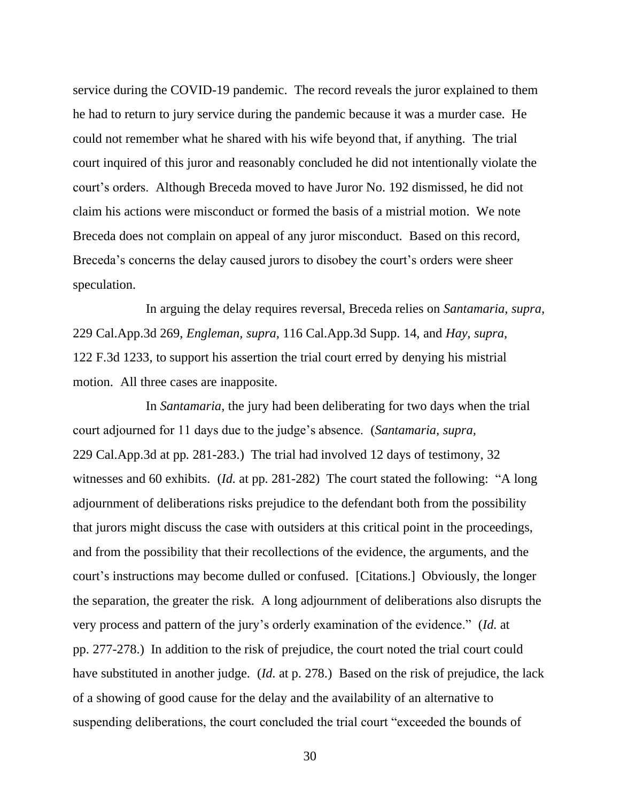service during the COVID-19 pandemic. The record reveals the juror explained to them he had to return to jury service during the pandemic because it was a murder case. He could not remember what he shared with his wife beyond that, if anything. The trial court inquired of this juror and reasonably concluded he did not intentionally violate the court's orders. Although Breceda moved to have Juror No. 192 dismissed, he did not claim his actions were misconduct or formed the basis of a mistrial motion. We note Breceda does not complain on appeal of any juror misconduct. Based on this record, Breceda's concerns the delay caused jurors to disobey the court's orders were sheer speculation.

In arguing the delay requires reversal, Breceda relies on *Santamaria, supra,*  229 Cal.App.3d 269, *Engleman, supra,* 116 Cal.App.3d Supp. 14, and *Hay, supra,* 122 F.3d 1233, to support his assertion the trial court erred by denying his mistrial motion. All three cases are inapposite.

In *Santamaria*, the jury had been deliberating for two days when the trial court adjourned for 11 days due to the judge's absence. (*Santamaria, supra,* 229 Cal.App.3d at pp. 281-283.) The trial had involved 12 days of testimony, 32 witnesses and 60 exhibits. (*Id*. at pp. 281-282) The court stated the following: "A long adjournment of deliberations risks prejudice to the defendant both from the possibility that jurors might discuss the case with outsiders at this critical point in the proceedings, and from the possibility that their recollections of the evidence, the arguments, and the court's instructions may become dulled or confused. [Citations.] Obviously, the longer the separation, the greater the risk. A long adjournment of deliberations also disrupts the very process and pattern of the jury's orderly examination of the evidence." (*Id*. at pp. 277-278.) In addition to the risk of prejudice, the court noted the trial court could have substituted in another judge. (*Id*. at p. 278.) Based on the risk of prejudice, the lack of a showing of good cause for the delay and the availability of an alternative to suspending deliberations, the court concluded the trial court "exceeded the bounds of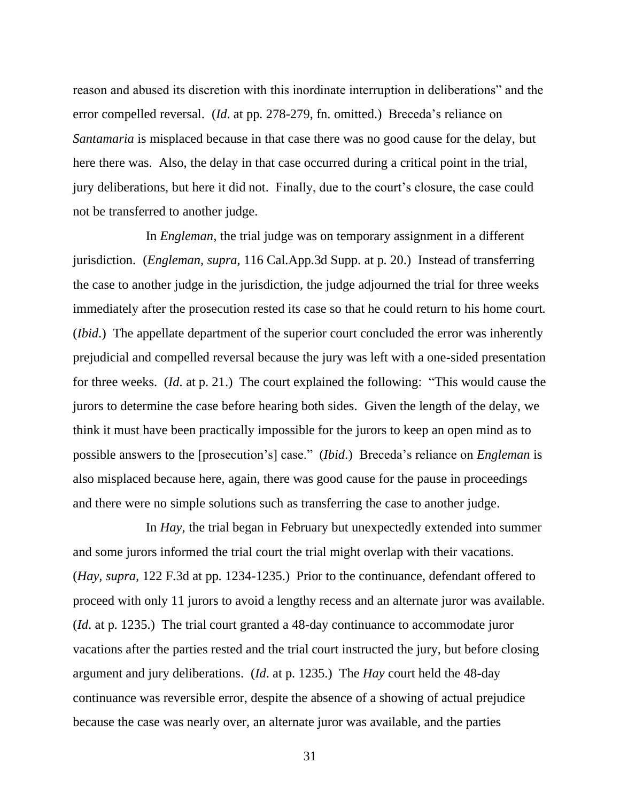reason and abused its discretion with this inordinate interruption in deliberations" and the error compelled reversal. (*Id*. at pp. 278-279, fn. omitted.) Breceda's reliance on *Santamaria* is misplaced because in that case there was no good cause for the delay, but here there was. Also, the delay in that case occurred during a critical point in the trial, jury deliberations, but here it did not. Finally, due to the court's closure, the case could not be transferred to another judge.

In *Engleman*, the trial judge was on temporary assignment in a different jurisdiction. (*Engleman, supra,* 116 Cal.App.3d Supp. at p. 20.) Instead of transferring the case to another judge in the jurisdiction, the judge adjourned the trial for three weeks immediately after the prosecution rested its case so that he could return to his home court. (*Ibid*.) The appellate department of the superior court concluded the error was inherently prejudicial and compelled reversal because the jury was left with a one-sided presentation for three weeks. (*Id*. at p. 21.) The court explained the following: "This would cause the jurors to determine the case before hearing both sides. Given the length of the delay, we think it must have been practically impossible for the jurors to keep an open mind as to possible answers to the [prosecution's] case." (*Ibid*.) Breceda's reliance on *Engleman* is also misplaced because here, again, there was good cause for the pause in proceedings and there were no simple solutions such as transferring the case to another judge.

In *Hay*, the trial began in February but unexpectedly extended into summer and some jurors informed the trial court the trial might overlap with their vacations. (*Hay, supra,* 122 F.3d at pp. 1234-1235.) Prior to the continuance, defendant offered to proceed with only 11 jurors to avoid a lengthy recess and an alternate juror was available. (*Id*. at p. 1235.) The trial court granted a 48-day continuance to accommodate juror vacations after the parties rested and the trial court instructed the jury, but before closing argument and jury deliberations. (*Id*. at p. 1235.) The *Hay* court held the 48-day continuance was reversible error, despite the absence of a showing of actual prejudice because the case was nearly over, an alternate juror was available, and the parties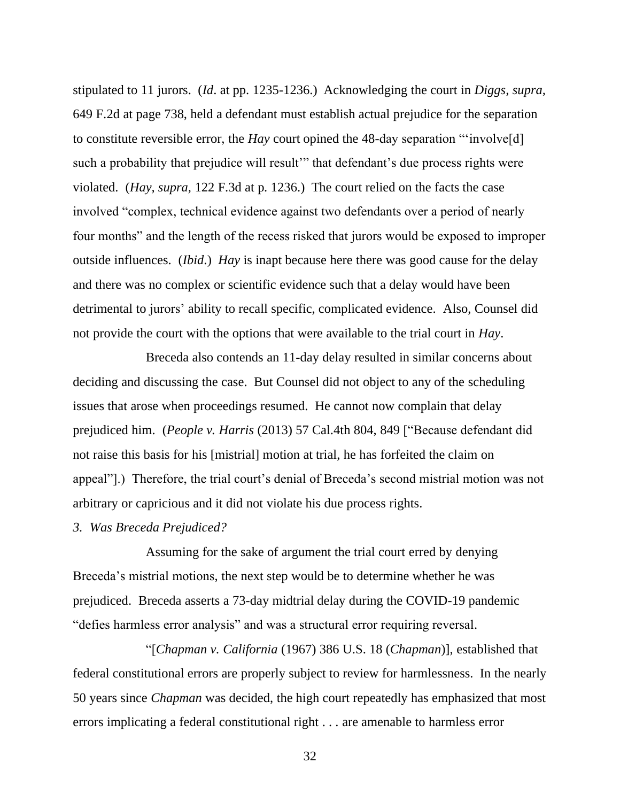stipulated to 11 jurors. (*Id*. at pp. 1235-1236.) Acknowledging the court in *Diggs, supra,*  649 F.2d at page 738, held a defendant must establish actual prejudice for the separation to constitute reversible error, the *Hay* court opined the 48-day separation "'involve[d] such a probability that prejudice will result'" that defendant's due process rights were violated. (*Hay, supra,* 122 F.3d at p. 1236.) The court relied on the facts the case involved "complex, technical evidence against two defendants over a period of nearly four months" and the length of the recess risked that jurors would be exposed to improper outside influences. (*Ibid*.) *Hay* is inapt because here there was good cause for the delay and there was no complex or scientific evidence such that a delay would have been detrimental to jurors' ability to recall specific, complicated evidence. Also, Counsel did not provide the court with the options that were available to the trial court in *Hay*.

Breceda also contends an 11-day delay resulted in similar concerns about deciding and discussing the case. But Counsel did not object to any of the scheduling issues that arose when proceedings resumed. He cannot now complain that delay prejudiced him. (*People v. Harris* (2013) 57 Cal.4th 804, 849 ["Because defendant did not raise this basis for his [mistrial] motion at trial, he has forfeited the claim on appeal"].) Therefore, the trial court's denial of Breceda's second mistrial motion was not arbitrary or capricious and it did not violate his due process rights.

#### *3. Was Breceda Prejudiced?*

Assuming for the sake of argument the trial court erred by denying Breceda's mistrial motions, the next step would be to determine whether he was prejudiced. Breceda asserts a 73-day midtrial delay during the COVID-19 pandemic "defies harmless error analysis" and was a structural error requiring reversal.

"[*Chapman v. California* (1967) 386 U.S. 18 (*Chapman*)], established that federal constitutional errors are properly subject to review for harmlessness. In the nearly 50 years since *Chapman* was decided, the high court repeatedly has emphasized that most errors implicating a federal constitutional right . . . are amenable to harmless error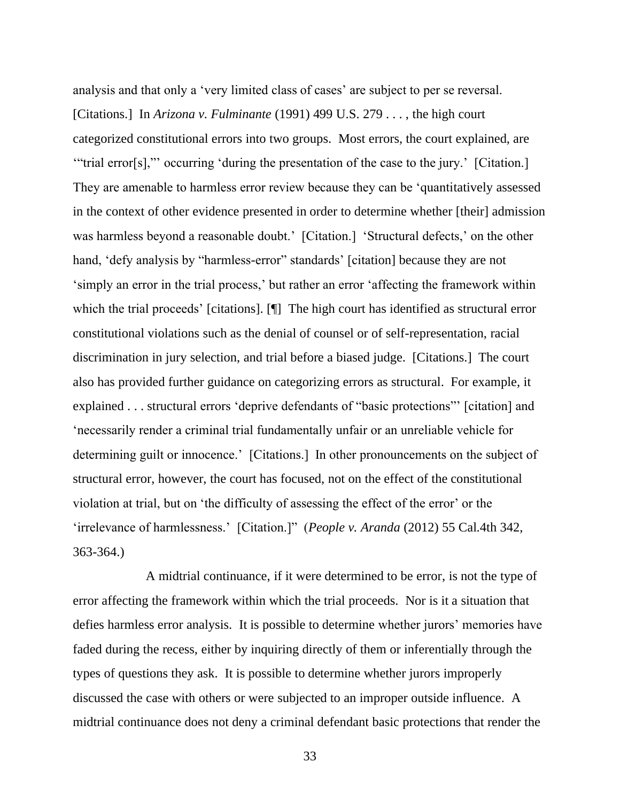analysis and that only a 'very limited class of cases' are subject to per se reversal. [Citations.] In *Arizona v. Fulminante* (1991) 499 U.S. 279 . . . , the high court categorized constitutional errors into two groups. Most errors, the court explained, are '"trial error[s],"' occurring 'during the presentation of the case to the jury.' [Citation.] They are amenable to harmless error review because they can be 'quantitatively assessed in the context of other evidence presented in order to determine whether [their] admission was harmless beyond a reasonable doubt.' [Citation.] 'Structural defects,' on the other hand, 'defy analysis by "harmless-error" standards' [citation] because they are not 'simply an error in the trial process,' but rather an error 'affecting the framework within which the trial proceeds' [citations]. [¶] The high court has identified as structural error constitutional violations such as the denial of counsel or of self-representation, racial discrimination in jury selection, and trial before a biased judge. [Citations.] The court also has provided further guidance on categorizing errors as structural. For example, it explained . . . structural errors 'deprive defendants of "basic protections"' [citation] and 'necessarily render a criminal trial fundamentally unfair or an unreliable vehicle for determining guilt or innocence.' [Citations.] In other pronouncements on the subject of structural error, however, the court has focused, not on the effect of the constitutional violation at trial, but on 'the difficulty of assessing the effect of the error' or the 'irrelevance of harmlessness.' [Citation.]" (*People v. Aranda* (2012) 55 Cal.4th 342, 363-364.)

A midtrial continuance, if it were determined to be error, is not the type of error affecting the framework within which the trial proceeds. Nor is it a situation that defies harmless error analysis. It is possible to determine whether jurors' memories have faded during the recess, either by inquiring directly of them or inferentially through the types of questions they ask. It is possible to determine whether jurors improperly discussed the case with others or were subjected to an improper outside influence. A midtrial continuance does not deny a criminal defendant basic protections that render the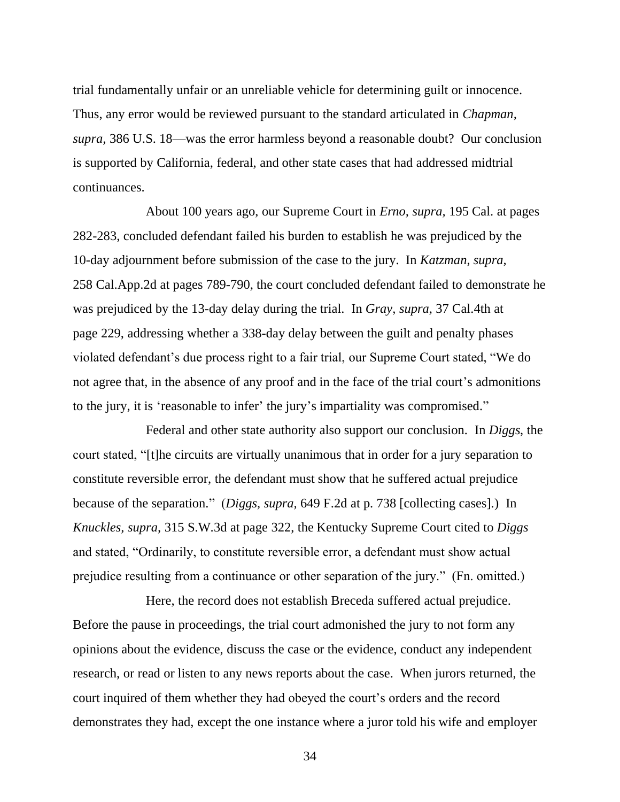trial fundamentally unfair or an unreliable vehicle for determining guilt or innocence. Thus, any error would be reviewed pursuant to the standard articulated in *Chapman, supra,* 386 U.S. 18—was the error harmless beyond a reasonable doubt? Our conclusion is supported by California, federal, and other state cases that had addressed midtrial continuances.

About 100 years ago, our Supreme Court in *Erno, supra,* 195 Cal. at pages 282-283, concluded defendant failed his burden to establish he was prejudiced by the 10-day adjournment before submission of the case to the jury. In *Katzman, supra,* 258 Cal.App.2d at pages 789-790, the court concluded defendant failed to demonstrate he was prejudiced by the 13-day delay during the trial. In *Gray, supra,* 37 Cal.4th at page 229, addressing whether a 338-day delay between the guilt and penalty phases violated defendant's due process right to a fair trial, our Supreme Court stated, "We do not agree that, in the absence of any proof and in the face of the trial court's admonitions to the jury, it is 'reasonable to infer' the jury's impartiality was compromised."

Federal and other state authority also support our conclusion. In *Diggs*, the court stated, "[t]he circuits are virtually unanimous that in order for a jury separation to constitute reversible error, the defendant must show that he suffered actual prejudice because of the separation." (*Diggs, supra,* 649 F.2d at p. 738 [collecting cases].) In *Knuckles, supra,* 315 S.W.3d at page 322, the Kentucky Supreme Court cited to *Diggs* and stated, "Ordinarily, to constitute reversible error, a defendant must show actual prejudice resulting from a continuance or other separation of the jury." (Fn. omitted.)

Here, the record does not establish Breceda suffered actual prejudice. Before the pause in proceedings, the trial court admonished the jury to not form any opinions about the evidence, discuss the case or the evidence, conduct any independent research, or read or listen to any news reports about the case. When jurors returned, the court inquired of them whether they had obeyed the court's orders and the record demonstrates they had, except the one instance where a juror told his wife and employer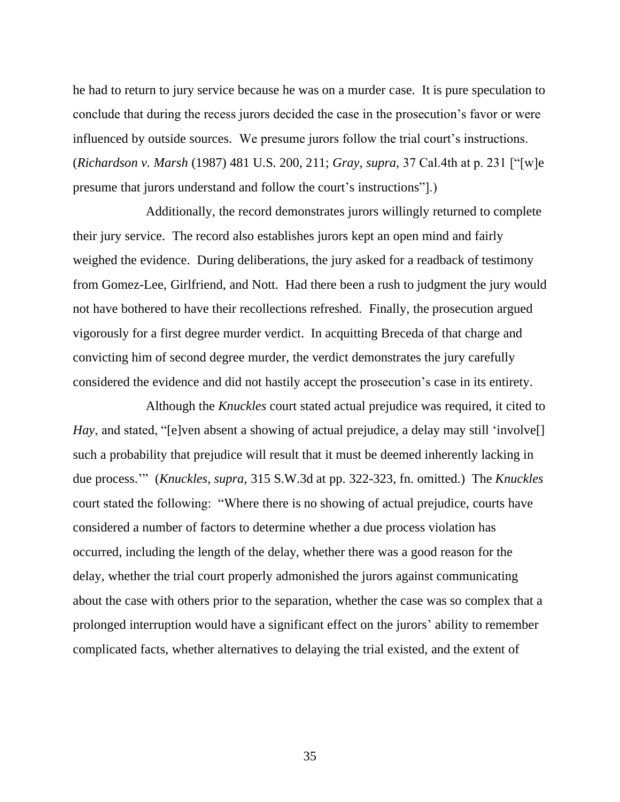he had to return to jury service because he was on a murder case. It is pure speculation to conclude that during the recess jurors decided the case in the prosecution's favor or were influenced by outside sources. We presume jurors follow the trial court's instructions. (*Richardson v. Marsh* (1987) 481 U.S. 200, 211; *Gray, supra,* 37 Cal.4th at p. 231 ["[w]e presume that jurors understand and follow the court's instructions"].)

Additionally, the record demonstrates jurors willingly returned to complete their jury service. The record also establishes jurors kept an open mind and fairly weighed the evidence. During deliberations, the jury asked for a readback of testimony from Gomez-Lee, Girlfriend, and Nott. Had there been a rush to judgment the jury would not have bothered to have their recollections refreshed. Finally, the prosecution argued vigorously for a first degree murder verdict. In acquitting Breceda of that charge and convicting him of second degree murder, the verdict demonstrates the jury carefully considered the evidence and did not hastily accept the prosecution's case in its entirety.

Although the *Knuckles* court stated actual prejudice was required, it cited to *Hay*, and stated, "[e]ven absent a showing of actual prejudice, a delay may still 'involve<sup>[]</sup> such a probability that prejudice will result that it must be deemed inherently lacking in due process.'" (*Knuckles, supra,* 315 S.W.3d at pp. 322-323, fn. omitted.) The *Knuckles* court stated the following: "Where there is no showing of actual prejudice, courts have considered a number of factors to determine whether a due process violation has occurred, including the length of the delay, whether there was a good reason for the delay, whether the trial court properly admonished the jurors against communicating about the case with others prior to the separation, whether the case was so complex that a prolonged interruption would have a significant effect on the jurors' ability to remember complicated facts, whether alternatives to delaying the trial existed, and the extent of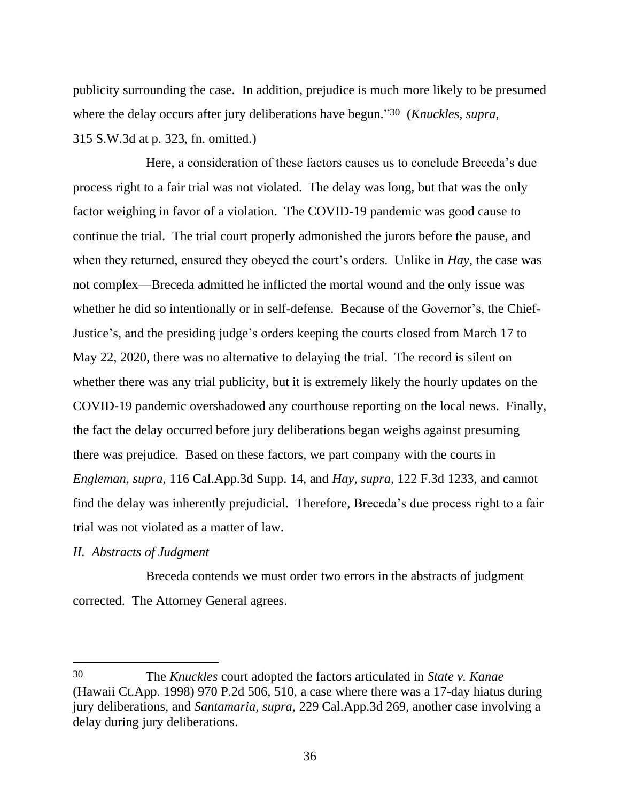publicity surrounding the case. In addition, prejudice is much more likely to be presumed where the delay occurs after jury deliberations have begun." 30 (*Knuckles, supra,* 315 S.W.3d at p. 323, fn. omitted.)

Here, a consideration of these factors causes us to conclude Breceda's due process right to a fair trial was not violated. The delay was long, but that was the only factor weighing in favor of a violation. The COVID-19 pandemic was good cause to continue the trial. The trial court properly admonished the jurors before the pause, and when they returned, ensured they obeyed the court's orders. Unlike in *Hay*, the case was not complex—Breceda admitted he inflicted the mortal wound and the only issue was whether he did so intentionally or in self-defense. Because of the Governor's, the Chief-Justice's, and the presiding judge's orders keeping the courts closed from March 17 to May 22, 2020, there was no alternative to delaying the trial. The record is silent on whether there was any trial publicity, but it is extremely likely the hourly updates on the COVID-19 pandemic overshadowed any courthouse reporting on the local news.Finally, the fact the delay occurred before jury deliberations began weighs against presuming there was prejudice. Based on these factors, we part company with the courts in *Engleman, supra,* 116 Cal.App.3d Supp. 14, and *Hay, supra,* 122 F.3d 1233, and cannot find the delay was inherently prejudicial. Therefore, Breceda's due process right to a fair trial was not violated as a matter of law.

# *II. Abstracts of Judgment*

Breceda contends we must order two errors in the abstracts of judgment corrected. The Attorney General agrees.

<sup>30</sup> The *Knuckles* court adopted the factors articulated in *State v. Kanae* (Hawaii Ct.App. 1998) 970 P.2d 506, 510, a case where there was a 17-day hiatus during jury deliberations, and *Santamaria, supra,* 229 Cal.App.3d 269, another case involving a delay during jury deliberations.